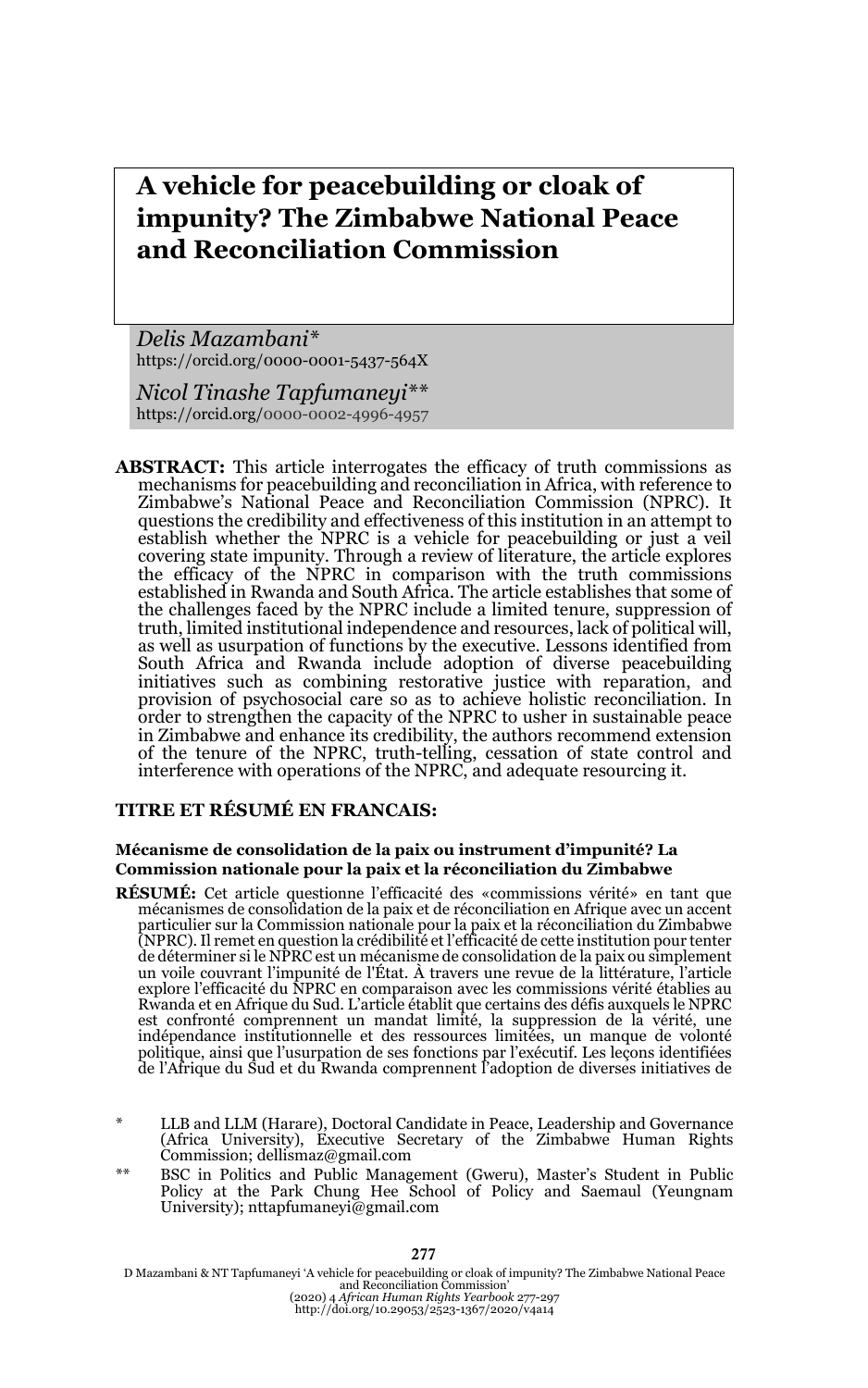# **A vehicle for peacebuilding or cloak of impunity? The Zimbabwe National Peace and Reconciliation Commission**

*Delis Mazambani\**  https://orcid.org/0000-0001-5437-564X

*Nicol Tinashe Tapfumaneyi\*\**  https://orcid.org/0000-0002-4996-4957

**ABSTRACT:** This article interrogates the efficacy of truth commissions as mechanisms for peacebuilding and reconciliation in Africa, with reference to Zimbabwe's National Peace and Reconciliation Commission (NPRC). It questions the credibility and effectiveness of this institution in an attempt to establish whether the NPRC is a vehicle for peacebuilding or just a veil covering state impunity. Through a review of literature, the article explores the efficacy of the NPRC in comparison with the truth commissions established in Rwanda and South Africa. The article establishes that some of the challenges faced by the NPRC include a limited tenure, suppression of truth, limited institutional independence and resources, lack of political will, as well as usurpation of functions by the executive. Lessons identified from South Africa and Rwanda include adoption of diverse peacebuilding initiatives such as combining restorative justice with reparation, and provision of psychosocial care so as to achieve holistic reconciliation. In order to strengthen the capacity of the NPRC to usher in sustainable peace in Zimbabwe and enhance its credibility, the authors recommend extension of the tenure of the NPRC, truth-telling, cessation of state control and interference with operations of the NPRC, and adequate resourcing it.

#### **TITRE ET RÉSUMÉ EN FRANCAIS:**

#### **Mécanisme de consolidation de la paix ou instrument d'impunité? La Commission nationale pour la paix et la réconciliation du Zimbabwe**

- **RÉSUMÉ:** Cet article questionne l'efficacité des «commissions vérité» en tant que mécanismes de consolidation de la paix et de réconciliation en Afrique avec un accent particulier sur la Commission nationale pour la paix et la réconciliation du Zimbabwe (NPRC). Il remet en question la crédibilité et l'efficacité de cette institution pour tenter de déterminer si le NPRC est un mécanisme de consolidation de la paix ou simplement un voile couvrant l'impunité de l'État. À travers une revue de la littérature, l'article explore l'efficacité du NPRC en comparaison avec les commissions vérité établies au Rwanda et en Afrique du Sud. L'article établit que certains des défis auxquels le NPRC est confronté comprennent un mandat limité, la suppression de la vérité, une indépendance institutionnelle et des ressources limitées, un manque de volonté politique, ainsi que l'usurpation de ses fonctions par l'exécutif. Les leçons identifiées de l'Afrique du Sud et du Rwanda comprennent l'adoption de diverses initiatives de
- \* LLB and LLM (Harare), Doctoral Candidate in Peace, Leadership and Governance (Africa University), Executive Secretary of the Zimbabwe Human Rights Commission; dellismaz@gmail.com
- \*\* BSC in Politics and Public Management (Gweru), Master's Student in Public Policy at the Park Chung Hee School of Policy and Saemaul (Yeungnam University); nttapfumaneyi@gmail.com

D Mazambani & NT Tapfumaneyi 'A vehicle for peacebuilding or cloak of impunity? The Zimbabwe National Peace<br>and Reconciliation Commission'<br>(2020) 4 African Human Rights Yearbook 277-297<br>http://doi.org/10.29053/2523-1367/20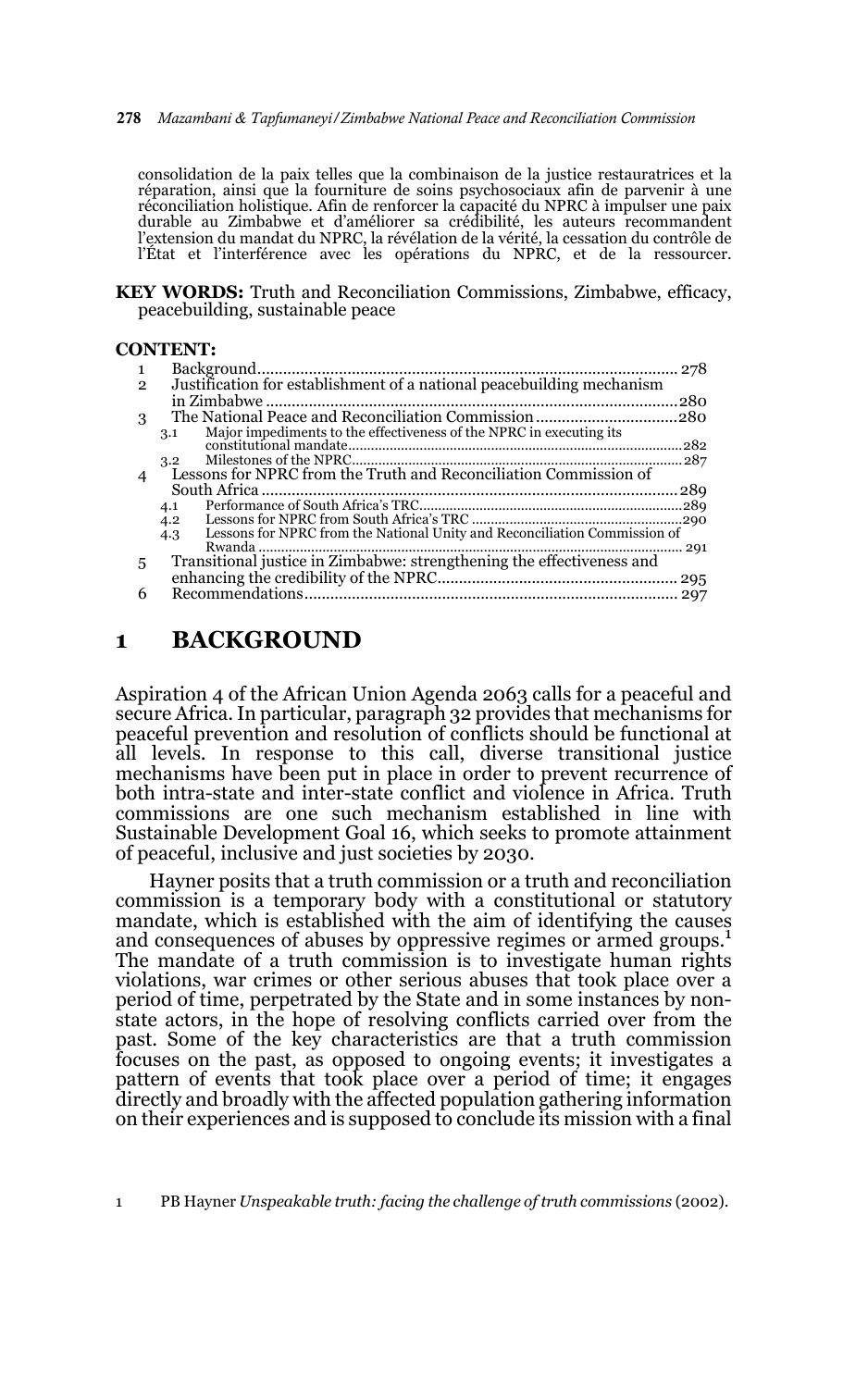278 *Mazambani & Tapfumaneyi/Zimbabwe National Peace and Reconciliation Commission*

consolidation de la paix telles que la combinaison de la justice restauratrices et la réparation, ainsi que la fourniture de soins psychosociaux afin de parvenir à une réconciliation holistique. Afin de renforcer la capacité du NPRC à impulser une paix durable au Zimbabwe et d'améliorer sa crédibilité, les auteurs recommandent l'extension du mandat du NPRC, la révélation de la vérité, la cessation du contrôle de l'État et l'interférence avec les opérations du NPRC, et de la ressourcer.

**KEY WORDS:** Truth and Reconciliation Commissions, Zimbabwe, efficacy, peacebuilding, sustainable peace

#### **CONTENT:**

| $\mathbf{2}$ | Justification for establishment of a national peacebuilding mechanism            |      |
|--------------|----------------------------------------------------------------------------------|------|
|              |                                                                                  | 280  |
| 3            |                                                                                  |      |
|              | Major impediments to the effectiveness of the NPRC in executing its<br>3.1       |      |
|              |                                                                                  | .282 |
|              | 3.2                                                                              |      |
| 4            | Lessons for NPRC from the Truth and Reconciliation Commission of                 |      |
|              |                                                                                  |      |
|              | 4.1                                                                              |      |
|              | 4.2                                                                              |      |
|              | Lessons for NPRC from the National Unity and Reconciliation Commission of<br>4.3 |      |
|              |                                                                                  |      |
| 5            | Transitional justice in Zimbabwe: strengthening the effectiveness and            |      |
|              |                                                                                  |      |
| 6            |                                                                                  |      |
|              |                                                                                  |      |

### **1 BACKGROUND**

Aspiration 4 of the African Union Agenda 2063 calls for a peaceful and secure Africa. In particular, paragraph 32 provides that mechanisms for peaceful prevention and resolution of conflicts should be functional at all levels. In response to this call, diverse transitional justice mechanisms have been put in place in order to prevent recurrence of both intra-state and inter-state conflict and violence in Africa. Truth commissions are one such mechanism established in line with Sustainable Development Goal 16, which seeks to promote attainment of peaceful, inclusive and just societies by 2030.

Hayner posits that a truth commission or a truth and reconciliation commission is a temporary body with a constitutional or statutory mandate, which is established with the aim of identifying the causes and consequences of abuses by oppressive regimes or armed groups.<sup>1</sup> The mandate of a truth commission is to investigate human rights violations, war crimes or other serious abuses that took place over a period of time, perpetrated by the State and in some instances by nonstate actors, in the hope of resolving conflicts carried over from the past. Some of the key characteristics are that a truth commission focuses on the past, as opposed to ongoing events; it investigates a pattern of events that took place over a period of time; it engages directly and broadly with the affected population gathering information on their experiences and is supposed to conclude its mission with a final

1 PB Hayner *Unspeakable truth: facing the challenge of truth commissions* (2002).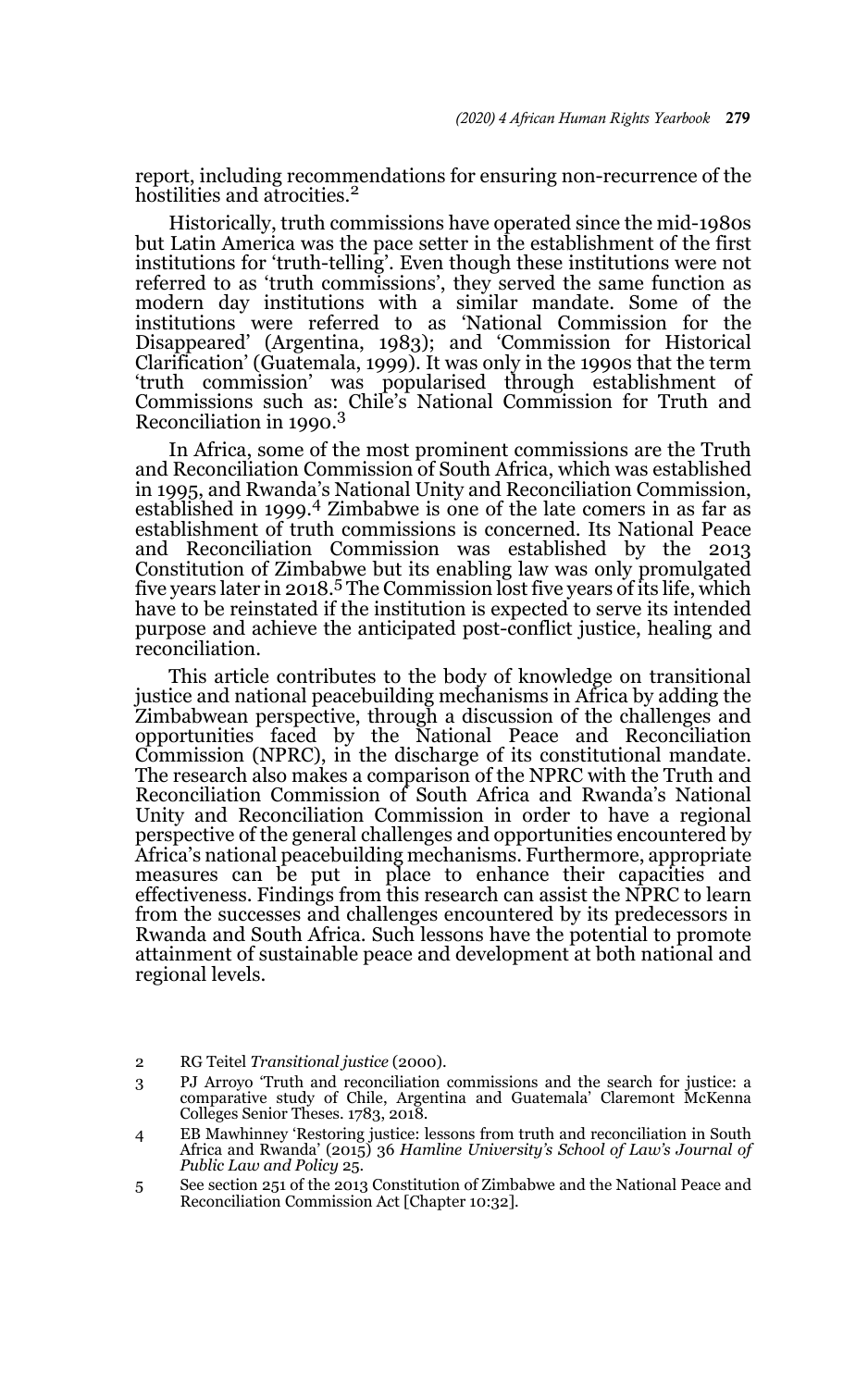report, including recommendations for ensuring non-recurrence of the hostilities and atrocities.<sup>2</sup>

Historically, truth commissions have operated since the mid-1980s but Latin America was the pace setter in the establishment of the first institutions for 'truth-telling'. Even though these institutions were not referred to as 'truth commissions', they served the same function as modern day institutions with a similar mandate. Some of the institutions were referred to as 'National Commission for the Disappeared' (Argentina, 1983); and 'Commission for Historical Clarification' (Guatemala, 1999). It was only in the 1990s that the term 'truth commission' was popularised through establishment of Commissions such as: Chile's National Commission for Truth and<br>Reconciliation in 1990.<sup>3</sup>

In Africa, some of the most prominent commissions are the Truth and Reconciliation Commission of South Africa, which was established in 1995, and Rwanda's National Unity and Reconciliation Commission, established in 1999.4 Zimbabwe is one of the late comers in as far as establishment of truth commissions is concerned. Its National Peace and Reconciliation Commission was established by the 2013 Constitution of Zimbabwe but its enabling law was only promulgated five years later in 2018.<sup>5</sup> The Commission lost five years of its life, which have to be reinstated if the institution is expected to serve its intended purpose and achieve the anticipated post-conflict justice, healing and reconciliation.

This article contributes to the body of knowledge on transitional justice and national peacebuilding mechanisms in Africa by adding the Zimbabwean perspective, through a discussion of the challenges and opportunities faced by the National Peace and Reconciliation Commission (NPRC), in the discharge of its constitutional mandate. The research also makes a comparison of the NPRC with the Truth and Reconciliation Commission of South Africa and Rwanda's National Unity and Reconciliation Commission in order to have a regional perspective of the general challenges and opportunities encountered by Africa's national peacebuilding mechanisms. Furthermore, appropriate measures can be put in place to enhance their capacities and effectiveness. Findings from this research can assist the NPRC to learn from the successes and challenges encountered by its predecessors in Rwanda and South Africa. Such lessons have the potential to promote attainment of sustainable peace and development at both national and regional levels.

<sup>2</sup> RG Teitel *Transitional justice* (2000).

<sup>3</sup> PJ Arroyo 'Truth and reconciliation commissions and the search for justice: a comparative study of Chile, Argentina and Guatemala' Claremont McKenna Colleges Senior Theses. 1783, 2018.

<sup>4</sup> EB Mawhinney 'Restoring justice: lessons from truth and reconciliation in South Africa and Rwanda' (2015) 36 *Hamline University's School of Law's Journal of Public Law and Policy* 25.

<sup>5</sup> See section 251 of the 2013 Constitution of Zimbabwe and the National Peace and Reconciliation Commission Act [Chapter 10:32].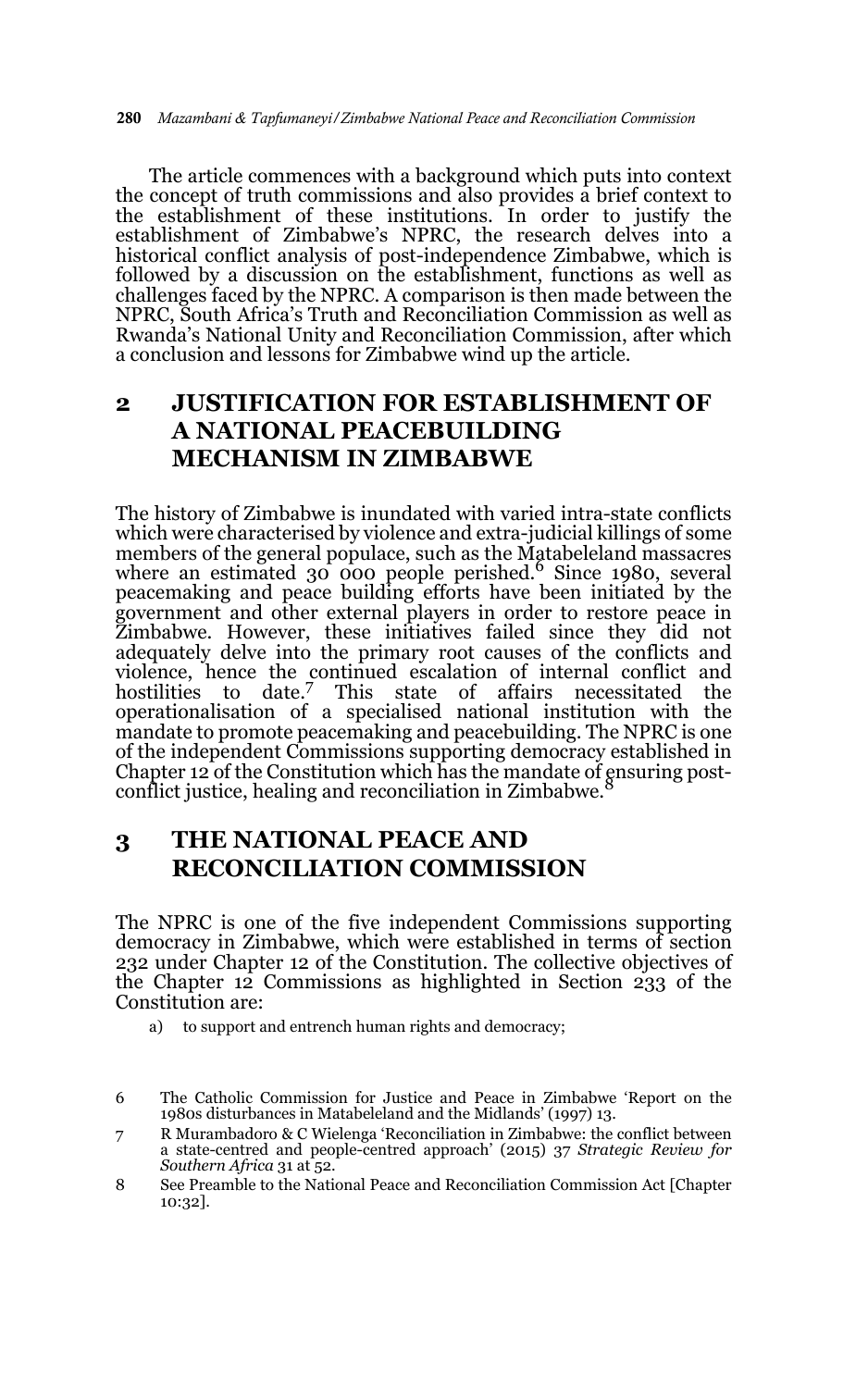The article commences with a background which puts into context the concept of truth commissions and also provides a brief context to the establishment of these institutions. In order to justify the establishment of Zimbabwe's NPRC, the research delves into a historical conflict analysis of post-independence Zimbabwe, which is followed by a discussion on the establishment, functions as well as challenges faced by the NPRC. A comparison is then made between the NPRC, South Africa's Truth and Reconciliation Commission as well as Rwanda's National Unity and Reconciliation Commission, after which a conclusion and lessons for Zimbabwe wind up the article.

## **2 JUSTIFICATION FOR ESTABLISHMENT OF A NATIONAL PEACEBUILDING MECHANISM IN ZIMBABWE**

The history of Zimbabwe is inundated with varied intra-state conflicts which were characterised by violence and extra-judicial killings of some members of the general populace, such as the Matabeleland massacres<br>where an estimated 30 000 people perished.<sup>6</sup> Since 1980, several peacemaking and peace building efforts have been initiated by the government and other external players in order to restore peace in Zimbabwe. However, these initiatives failed since they did not adequately delve into the primary root causes of the conflicts and violence, hence the continued escalation of internal conflict and hostilities to date.7 This state of affairs necessitated the operationalisation of a specialised national institution with the mandate to promote peacemaking and peacebuilding. The NPRC is one of the independent Commissions supporting democracy established in Chapter 12 of the Constitution which has the mandate of ensuring postconflict justice, healing and reconciliation in Zimbabwe.<sup>8</sup>

## **3 THE NATIONAL PEACE AND RECONCILIATION COMMISSION**

The NPRC is one of the five independent Commissions supporting democracy in Zimbabwe, which were established in terms of section 232 under Chapter 12 of the Constitution. The collective objectives of the Chapter 12 Commissions as highlighted in Section 233 of the Constitution are:

a) to support and entrench human rights and democracy;

- 7 R Murambadoro & C Wielenga 'Reconciliation in Zimbabwe: the conflict between a state-centred and people-centred approach' (2015) 37 *Strategic Review for Southern Africa* 31 at 52.
- 8 See Preamble to the National Peace and Reconciliation Commission Act [Chapter 10:32].

<sup>6</sup> The Catholic Commission for Justice and Peace in Zimbabwe 'Report on the 1980s disturbances in Matabeleland and the Midlands' (1997) 13.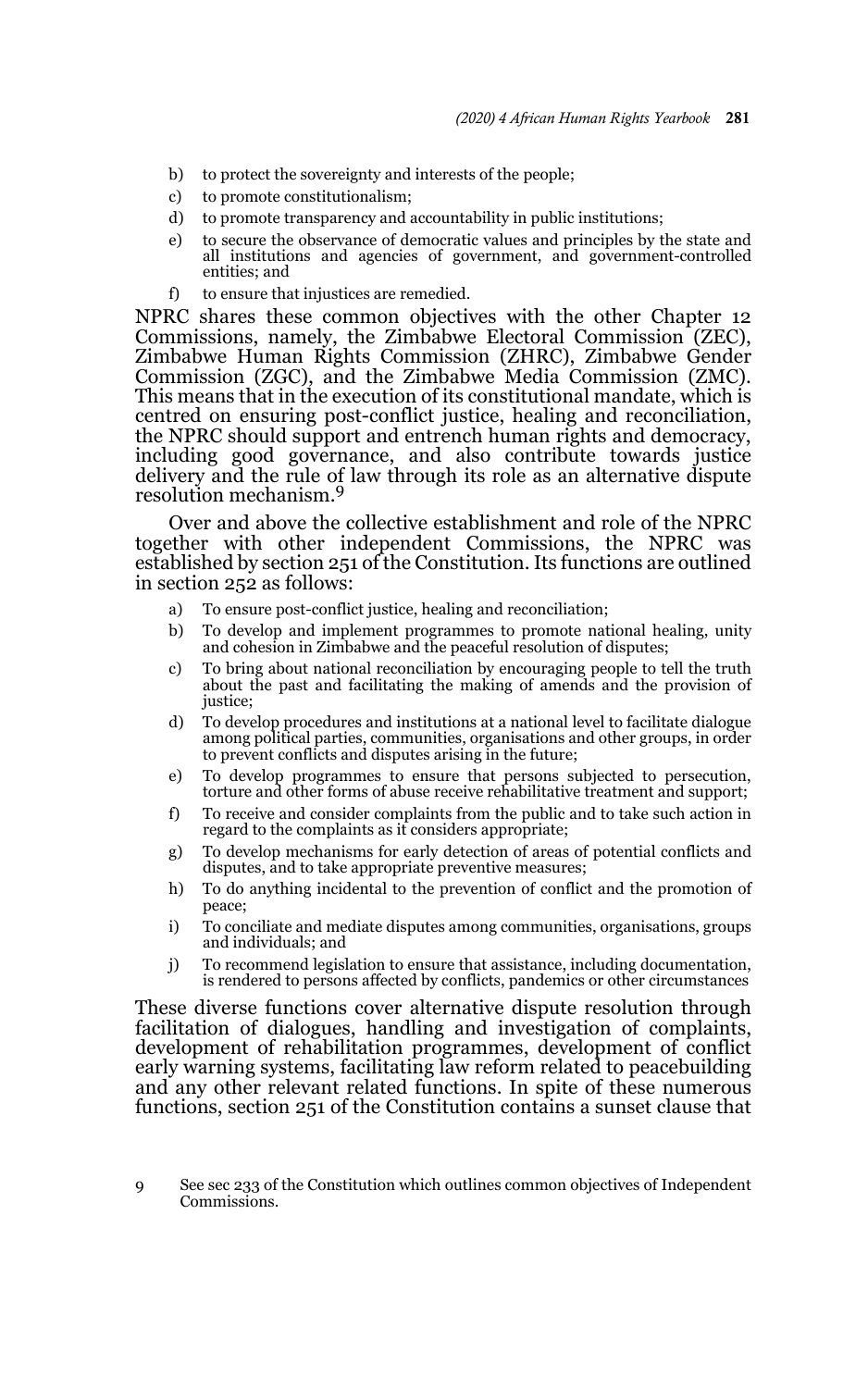- b) to protect the sovereignty and interests of the people;
- c) to promote constitutionalism;
- d) to promote transparency and accountability in public institutions;
- e) to secure the observance of democratic values and principles by the state and all institutions and agencies of government, and government-controlled entities; and
- f) to ensure that injustices are remedied.

NPRC shares these common objectives with the other Chapter 12 Commissions, namely, the Zimbabwe Electoral Commission (ZEC), Zimbabwe Human Rights Commission (ZHRC), Zimbabwe Gender Commission (ZGC), and the Zimbabwe Media Commission (ZMC). This means that in the execution of its constitutional mandate, which is centred on ensuring post-conflict justice, healing and reconciliation, the NPRC should support and entrench human rights and democracy, including good governance, and also contribute towards justice delivery and the rule of law through its role as an alternative dispute resolution mechanism.<sup>9</sup>

Over and above the collective establishment and role of the NPRC together with other independent Commissions, the NPRC was established by section 251 of the Constitution. Its functions are outlined in section 252 as follows:

- a) To ensure post-conflict justice, healing and reconciliation;
- b) To develop and implement programmes to promote national healing, unity and cohesion in Zimbabwe and the peaceful resolution of disputes;
- c) To bring about national reconciliation by encouraging people to tell the truth about the past and facilitating the making of amends and the provision of justice;
- d) To develop procedures and institutions at a national level to facilitate dialogue among political parties, communities, organisations and other groups, in order to prevent conflicts and disputes arising in the future;
- e) To develop programmes to ensure that persons subjected to persecution, torture and other forms of abuse receive rehabilitative treatment and support;
- f) To receive and consider complaints from the public and to take such action in regard to the complaints as it considers appropriate;
- g) To develop mechanisms for early detection of areas of potential conflicts and disputes, and to take appropriate preventive measures;
- h) To do anything incidental to the prevention of conflict and the promotion of peace;
- i) To conciliate and mediate disputes among communities, organisations, groups and individuals; and
- j) To recommend legislation to ensure that assistance, including documentation, is rendered to persons affected by conflicts, pandemics or other circumstances

These diverse functions cover alternative dispute resolution through facilitation of dialogues, handling and investigation of complaints, development of rehabilitation programmes, development of conflict early warning systems, facilitating law reform related to peacebuilding and any other relevant related functions. In spite of these numerous functions, section 251 of the Constitution contains a sunset clause that

<sup>9</sup> See sec 233 of the Constitution which outlines common objectives of Independent Commissions.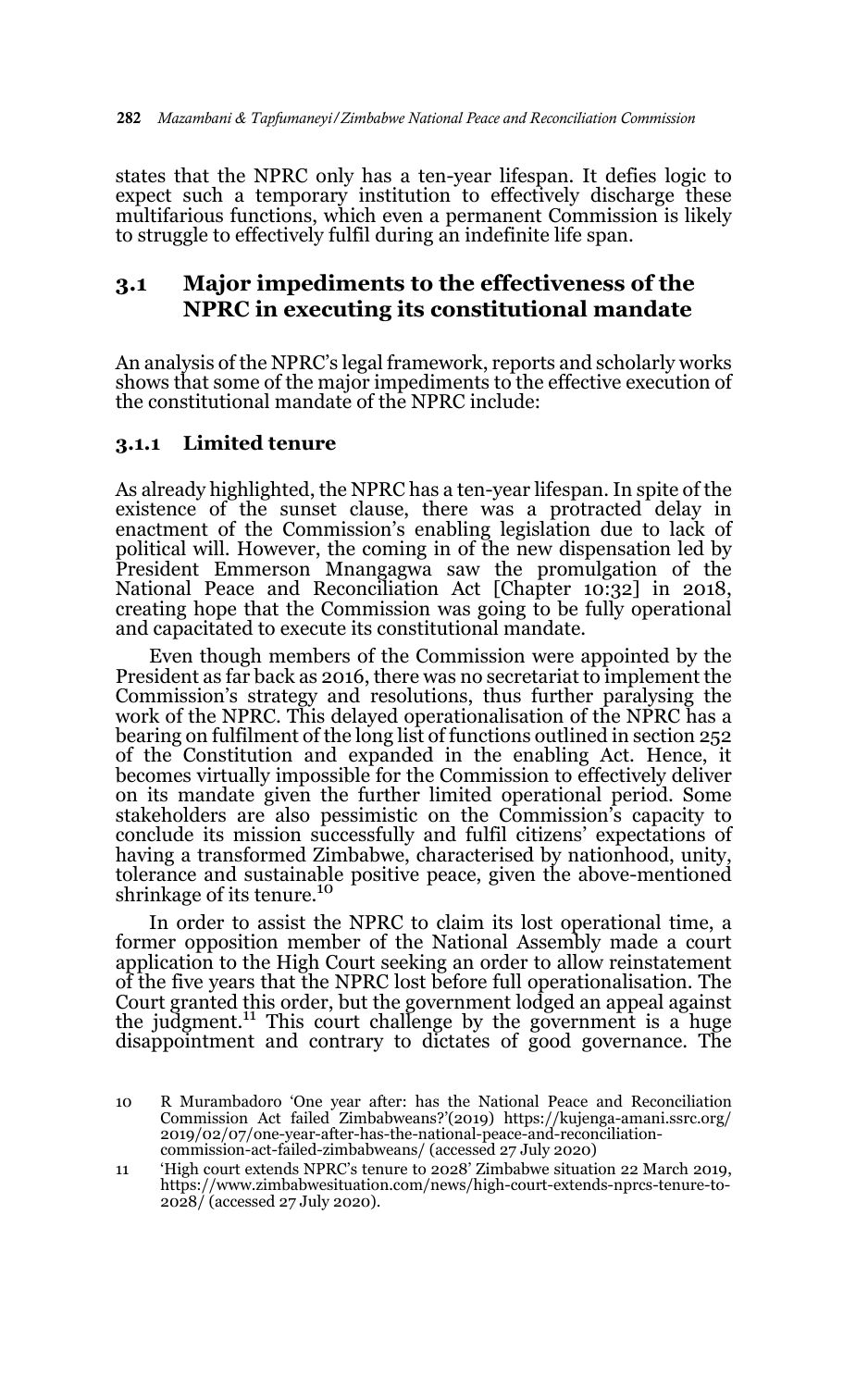states that the NPRC only has a ten-year lifespan. It defies logic to expect such a temporary institution to effectively discharge these multifarious functions, which even a permanent Commission is likely to struggle to effectively fulfil during an indefinite life span.

## **3.1 Major impediments to the effectiveness of the NPRC in executing its constitutional mandate**

An analysis of the NPRC's legal framework, reports and scholarly works shows that some of the major impediments to the effective execution of the constitutional mandate of the NPRC include:

### **3.1.1 Limited tenure**

As already highlighted, the NPRC has a ten-year lifespan. In spite of the existence of the sunset clause, there was a protracted delay in enactment of the Commission's enabling legislation due to lack of political will. However, the coming in of the new dispensation led by President Emmerson Mnangagwa saw the promulgation of the National Peace and Reconciliation Act [Chapter 10:32] in 2018, creating hope that the Commission was going to be fully operational and capacitated to execute its constitutional mandate.

Even though members of the Commission were appointed by the President as far back as 2016, there was no secretariat to implement the Commission's strategy and resolutions, thus further paralysing the work of the NPRC. This delayed operationalisation of the NPRC has a bearing on fulfilment of the long list of functions outlined in section 252 of the Constitution and expanded in the enabling Act. Hence, it becomes virtually impossible for the Commission to effectively deliver on its mandate given the further limited operational period. Some stakeholders are also pessimistic on the Commission's capacity to conclude its mission successfully and fulfil citizens' expectations of having a transformed Zimbabwe, characterised by nationhood, unity, tolerance and sustainable positive peace, given the above-mentioned shrinkage of its tenure.<sup>10</sup>

In order to assist the NPRC to claim its lost operational time, a former opposition member of the National Assembly made a court application to the High Court seeking an order to allow reinstatement of the five years that the NPRC lost before full operationalisation. The Court granted this order, but the government lodged an appeal against the judgment.<sup>11</sup> This court challenge by the government is a huge disappointment and contrary to dictates of good governance. The

<sup>10</sup> R Murambadoro 'One year after: has the National Peace and Reconciliation Commission Act failed Zimbabweans?'(2019) https://kujenga-amani.ssrc.org/ 2019/02/07/one-year-after-has-the-national-peace-and-reconciliationcommission-act-failed-zimbabweans/ (accessed 27 July 2020)

<sup>11 &#</sup>x27;High court extends NPRC's tenure to 2028' Zimbabwe situation 22 March 2019, https://www.zimbabwesituation.com/news/high-court-extends-nprcs-tenure-to-2028/ (accessed 27 July 2020).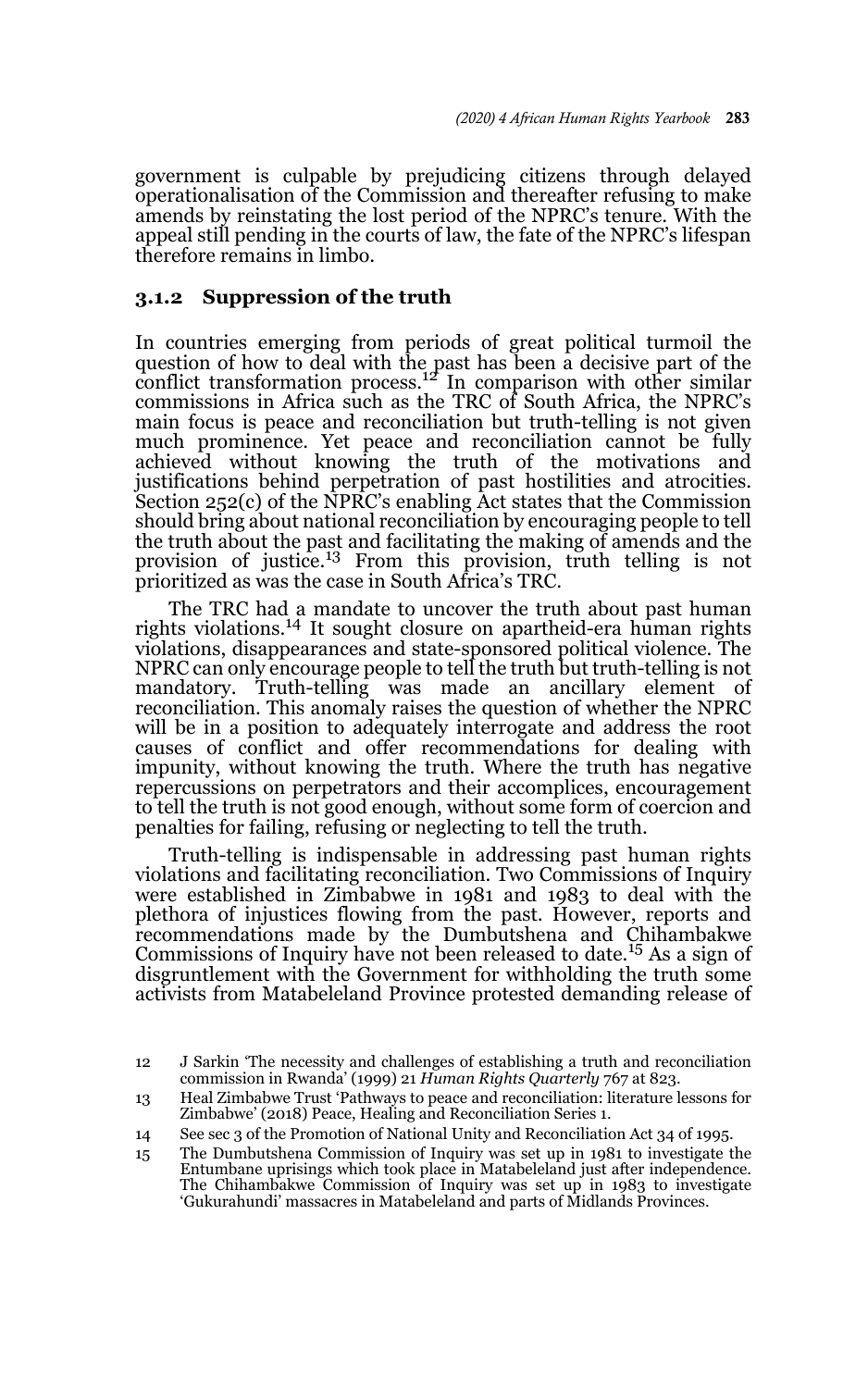government is culpable by prejudicing citizens through delayed operationalisation of the Commission and thereafter refusing to make amends by reinstating the lost period of the NPRC's tenure. With the appeal still pending in the courts of law, the fate of the NPRC's lifespan therefore remains in limbo.

#### **3.1.2 Suppression of the truth**

In countries emerging from periods of great political turmoil the question of how to deal with the past has been a decisive part of the conflict transformation process.<sup>12</sup> In comparison with other similar commissions in Africa such as the TRC of South Africa, the NPRC's main focus is peace and reconciliation but truth-telling is not given much prominence. Yet peace and reconciliation cannot be fully achieved without knowing the truth of the motivations and justifications behind perpetration of past hostilities and atrocities. Section 252(c) of the NPRC's enabling Act states that the Commission should bring about national reconciliation by encouraging people to tell the truth about the past and facilitating the making of amends and the provision of justice.13 From this provision, truth telling is not prioritized as was the case in South Africa's TRC.

The TRC had a mandate to uncover the truth about past human rights violations.<sup>14</sup> It sought closure on apartheid-era human rights violations, disappearances and state-sponsored political violence. The NPRC can only encourage people to tell the truth but truth-telling is not mandatory. Truth-telling was made an ancillary element of reconciliation. This anomaly raises the question of whether the NPRC will be in a position to adequately interrogate and address the root causes of conflict and offer recommendations for dealing with impunity, without knowing the truth. Where the truth has negative repercussions on perpetrators and their accomplices, encouragement to tell the truth is not good enough, without some form of coercion and penalties for failing, refusing or neglecting to tell the truth.

Truth-telling is indispensable in addressing past human rights violations and facilitating reconciliation. Two Commissions of Inquiry were established in Zimbabwe in 1981 and 1983 to deal with the plethora of injustices flowing from the past. However, reports and recommendations made by the Dumbutshena and Chihambakwe Commissions of Inquiry have not been released to date.<sup>15</sup> As a sign of disgruntlement with the Government for withholding the truth some activists from Matabeleland Province protested demanding release of

<sup>12</sup> J Sarkin 'The necessity and challenges of establishing a truth and reconciliation commission in Rwanda' (1999) 21 *Human Rights Quarterly* 767 at 823.

<sup>13</sup> Heal Zimbabwe Trust 'Pathways to peace and reconciliation: literature lessons for Zimbabwe' (2018) Peace, Healing and Reconciliation Series 1.

<sup>14</sup> See sec 3 of the Promotion of National Unity and Reconciliation Act 34 of 1995.

<sup>15</sup> The Dumbutshena Commission of Inquiry was set up in 1981 to investigate the Entumbane uprisings which took place in Matabeleland just after independence. The Chihambakwe Commission of Inquiry was set up in 1983 to investigate 'Gukurahundi' massacres in Matabeleland and parts of Midlands Provinces.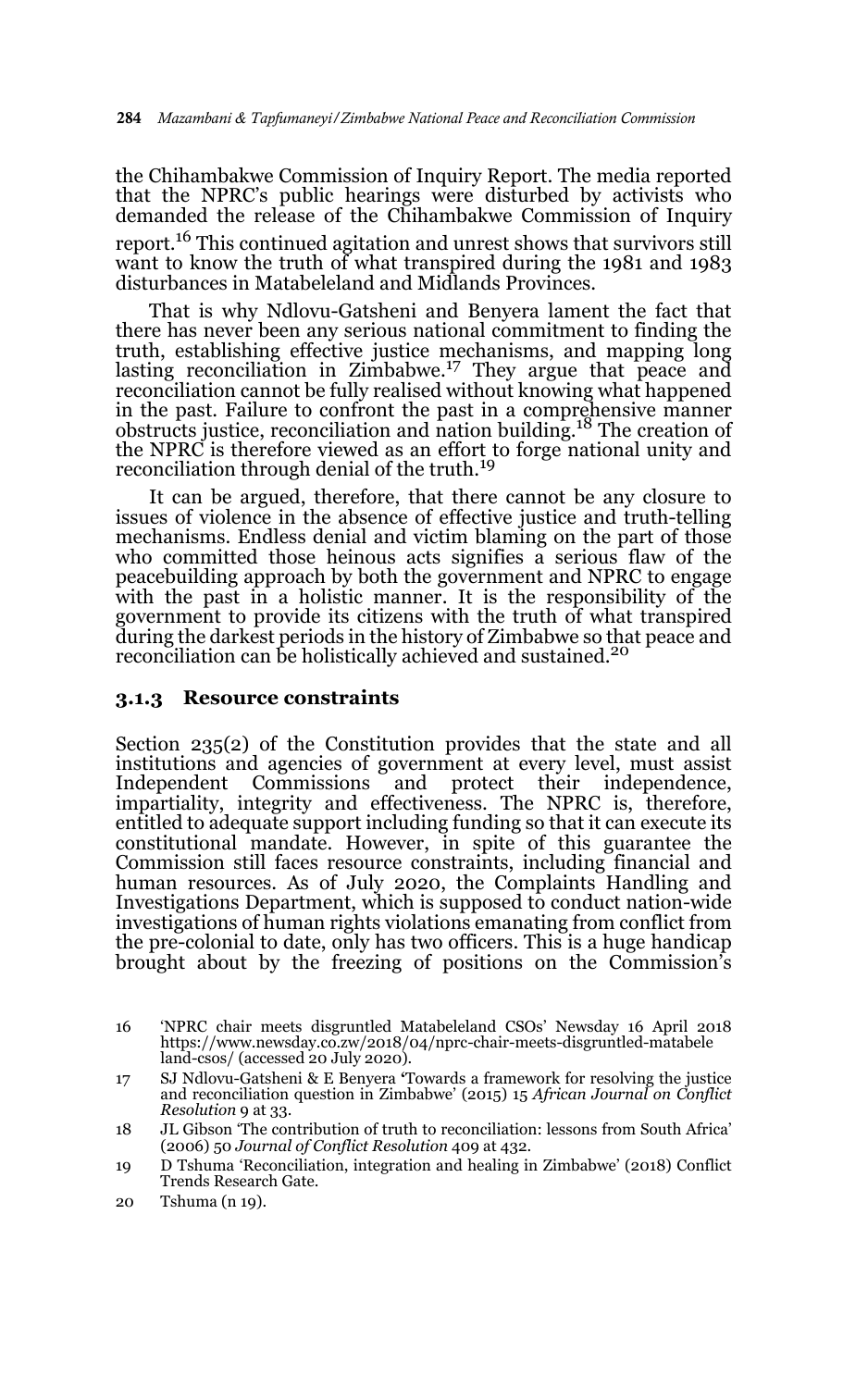the Chihambakwe Commission of Inquiry Report. The media reported that the NPRC's public hearings were disturbed by activists who demanded the release of the Chihambakwe Commission of Inquiry report.<sup>16</sup> This continued agitation and unrest shows that survivors still want to know the truth of what transpired during the 1981 and 1983 disturbances in Matabeleland and Midlands Provinces.

That is why Ndlovu-Gatsheni and Benyera lament the fact that there has never been any serious national commitment to finding the truth, establishing effective justice mechanisms, and mapping long lasting reconciliation in Zimbabwe.17 They argue that peace and reconciliation cannot be fully realised without knowing what happened in the past. Failure to confront the past in a comprehensive manner obstructs justice, reconciliation and nation building.18 The creation of the NPRC is therefore viewed as an effort to forge national unity and reconciliation through denial of the truth.<sup>19</sup>

It can be argued, therefore, that there cannot be any closure to issues of violence in the absence of effective justice and truth-telling mechanisms. Endless denial and victim blaming on the part of those who committed those heinous acts signifies a serious flaw of the peacebuilding approach by both the government and NPRC to engage with the past in a holistic manner. It is the responsibility of the government to provide its citizens with the truth of what transpired during the darkest periods in the history of Zimbabwe so that peace and reconciliation can be holistically achieved and sustained.<sup>20</sup>

#### **3.1.3 Resource constraints**

Section 235(2) of the Constitution provides that the state and all institutions and agencies of government at every level, must assist Independent Commissions and protect their independence, impartiality, integrity and effectiveness. The NPRC is, therefore, entitled to adequate support including funding so that it can execute its constitutional mandate. However, in spite of this guarantee the Commission still faces resource constraints, including financial and human resources. As of July 2020, the Complaints Handling and Investigations Department, which is supposed to conduct nation-wide investigations of human rights violations emanating from conflict from the pre-colonial to date, only has two officers. This is a huge handicap brought about by the freezing of positions on the Commission's

<sup>16 &#</sup>x27;NPRC chair meets disgruntled Matabeleland CSOs' Newsday 16 April 2018 https://www.newsday.co.zw/2018/04/nprc-chair-meets-disgruntled-matabele land-csos/ (accessed 20 July 2020).

<sup>17</sup> SJ Ndlovu-Gatsheni & E Benyera **'**Towards a framework for resolving the justice and reconciliation question in Zimbabwe' (2015) 15 *African Journal on Conflict Resolution* 9 at 33.

<sup>18</sup> JL Gibson 'The contribution of truth to reconciliation: lessons from South Africa' (2006) 50 *Journal of Conflict Resolution* 409 at 432.

<sup>19</sup> D Tshuma 'Reconciliation, integration and healing in Zimbabwe' (2018) Conflict Trends Research Gate.

<sup>20</sup> Tshuma (n 19).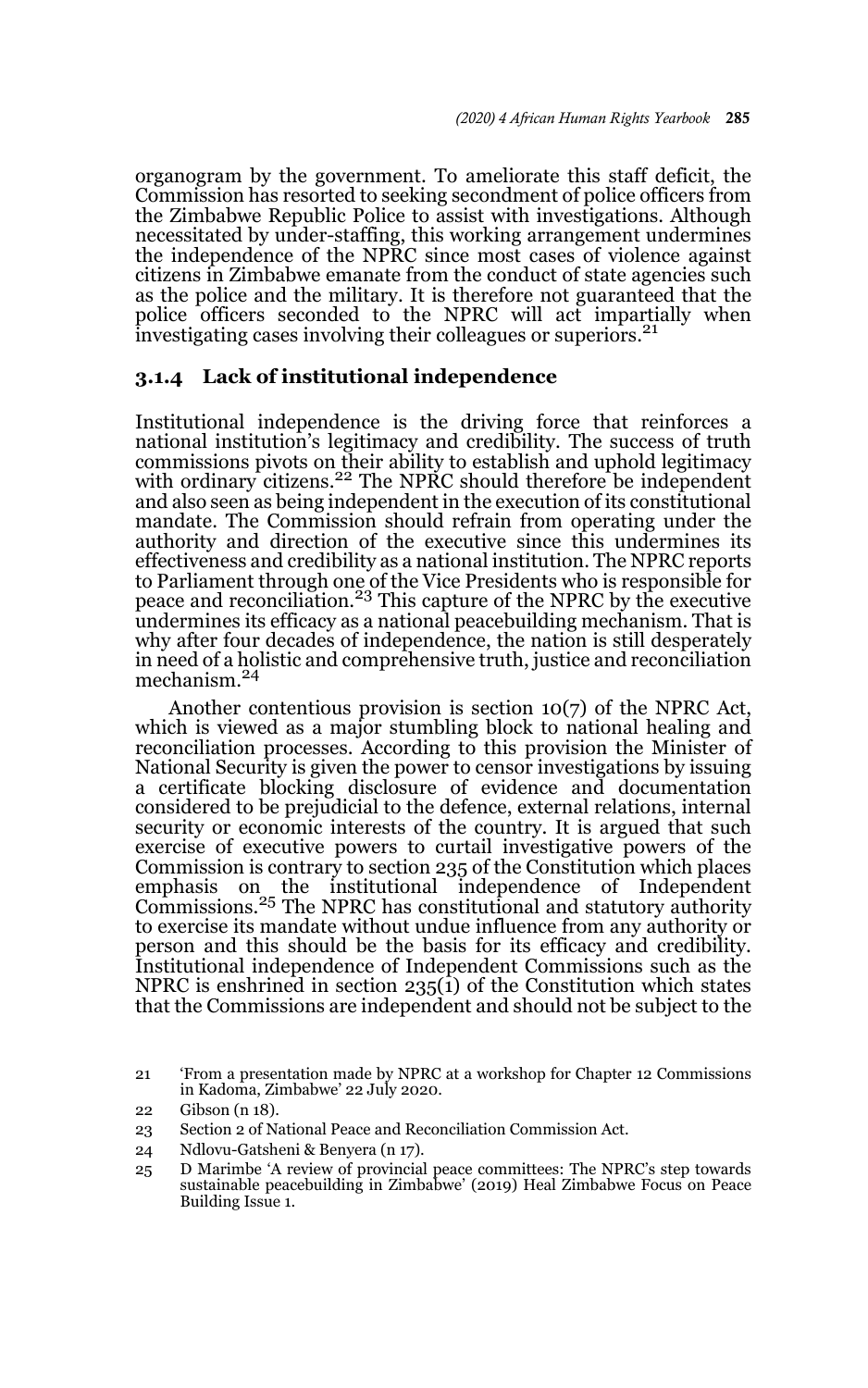organogram by the government. To ameliorate this staff deficit, the Commission has resorted to seeking secondment of police officers from the Zimbabwe Republic Police to assist with investigations. Although necessitated by under-staffing, this working arrangement undermines the independence of the NPRC since most cases of violence against citizens in Zimbabwe emanate from the conduct of state agencies such as the police and the military. It is therefore not guaranteed that the police officers seconded to the NPRC will act impartially when investigating cases involving their colleagues or superiors.<sup>21</sup>

### **3.1.4 Lack of institutional independence**

Institutional independence is the driving force that reinforces a national institution's legitimacy and credibility. The success of truth commissions pivots on their ability to establish and uphold legitimacy with ordinary citizens.<sup>22</sup> The NPRC should therefore be independent and also seen as being independent in the execution of its constitutional mandate. The Commission should refrain from operating under the authority and direction of the executive since this undermines its effectiveness and credibility as a national institution. The NPRC reports to Parliament through one of the Vice Presidents who is responsible for<br>peace and reconciliation.<sup>23</sup> This capture of the NPRC by the executive undermines its efficacy as a national peacebuilding mechanism. That is why after four decades of independence, the nation is still desperately in need of a holistic and comprehensive truth, justice and reconciliation mechanism.<sup>24</sup>

Another contentious provision is section 10(7) of the NPRC Act, which is viewed as a major stumbling block to national healing and reconciliation processes. According to this provision the Minister of National Security is given the power to censor investigations by issuing a certificate blocking disclosure of evidence and documentation considered to be prejudicial to the defence, external relations, internal security or economic interests of the country. It is argued that such exercise of executive powers to curtail investigative powers of the Commission is contrary to section 235 of the Constitution which places emphasis on the institutional independence of Independent Commissions.25 The NPRC has constitutional and statutory authority to exercise its mandate without undue influence from any authority or person and this should be the basis for its efficacy and credibility. Institutional independence of Independent Commissions such as the NPRC is enshrined in section  $235(i)$  of the Constitution which states that the Commissions are independent and should not be subject to the

<sup>21 &#</sup>x27;From a presentation made by NPRC at a workshop for Chapter 12 Commissions in Kadoma, Zimbabwe' 22 July 2020.

<sup>22</sup> Gibson (n 18).

<sup>23</sup> Section 2 of National Peace and Reconciliation Commission Act.

<sup>24</sup> Ndlovu-Gatsheni & Benyera (n 17).

<sup>25</sup> D Marimbe 'A review of provincial peace committees: The NPRC's step towards sustainable peacebuilding in Zimbabwe' (2019) Heal Zimbabwe Focus on Peace Building Issue 1.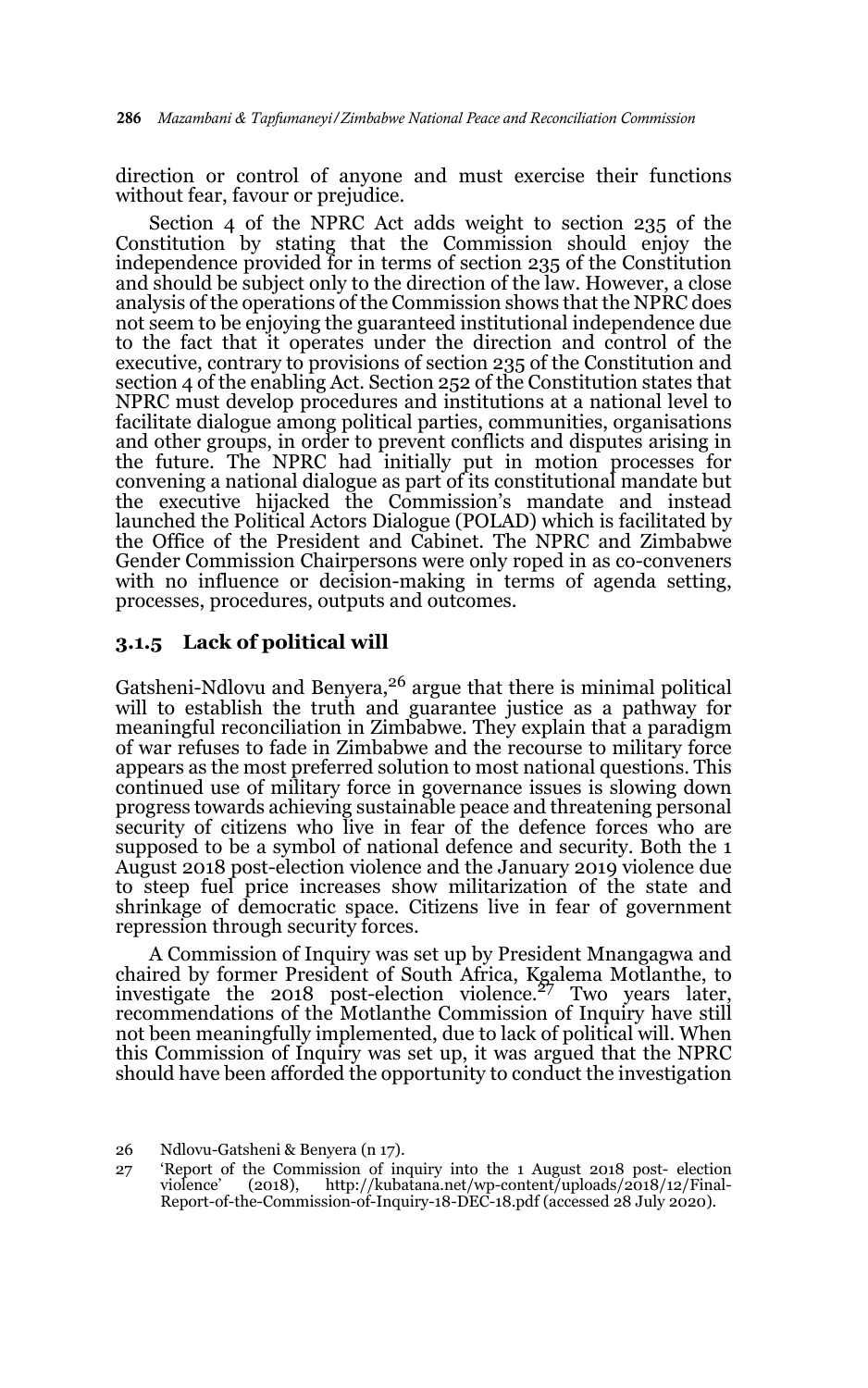direction or control of anyone and must exercise their functions without fear, favour or prejudice.

Section 4 of the NPRC Act adds weight to section 235 of the Constitution by stating that the Commission should enjoy the independence provided for in terms of section 235 of the Constitution and should be subject only to the direction of the law. However, a close analysis of the operations of the Commission shows that the NPRC does not seem to be enjoying the guaranteed institutional independence due to the fact that it operates under the direction and control of the executive, contrary to provisions of section 235 of the Constitution and section 4 of the enabling Act. Section 252 of the Constitution states that NPRC must develop procedures and institutions at a national level to facilitate dialogue among political parties, communities, organisations and other groups, in order to prevent conflicts and disputes arising in the future. The NPRC had initially put in motion processes for convening a national dialogue as part of its constitutional mandate but the executive hijacked the Commission's mandate and instead launched the Political Actors Dialogue (POLAD) which is facilitated by the Office of the President and Cabinet. The NPRC and Zimbabwe Gender Commission Chairpersons were only roped in as co-conveners with no influence or decision-making in terms of agenda setting, processes, procedures, outputs and outcomes.

#### **3.1.5 Lack of political will**

Gatsheni-Ndlovu and Benyera, $26$  argue that there is minimal political will to establish the truth and guarantee justice as a pathway for meaningful reconciliation in Zimbabwe. They explain that a paradigm of war refuses to fade in Zimbabwe and the recourse to military force appears as the most preferred solution to most national questions. This continued use of military force in governance issues is slowing down progress towards achieving sustainable peace and threatening personal security of citizens who live in fear of the defence forces who are supposed to be a symbol of national defence and security. Both the 1 August 2018 post-election violence and the January 2019 violence due to steep fuel price increases show militarization of the state and shrinkage of democratic space. Citizens live in fear of government repression through security forces.

A Commission of Inquiry was set up by President Mnangagwa and chaired by former President of South Africa, Kgalema Motlanthe, to investigate the 2018 post-election violence.27 Two years later, recommendations of the Motlanthe Commission of Inquiry have still not been meaningfully implemented, due to lack of political will. When this Commission of Inquiry was set up, it was argued that the NPRC should have been afforded the opportunity to conduct the investigation

<sup>26</sup> Ndlovu-Gatsheni & Benyera (n 17).

<sup>27 &#</sup>x27;Report of the Commission of inquiry into the 1 August 2018 post- election violence' (2018), http://kubatana.net/wp-content/uploads/2018/12/Final-Report-of-the-Commission-of-Inquiry-18-DEC-18.pdf (accessed 28 July 2020).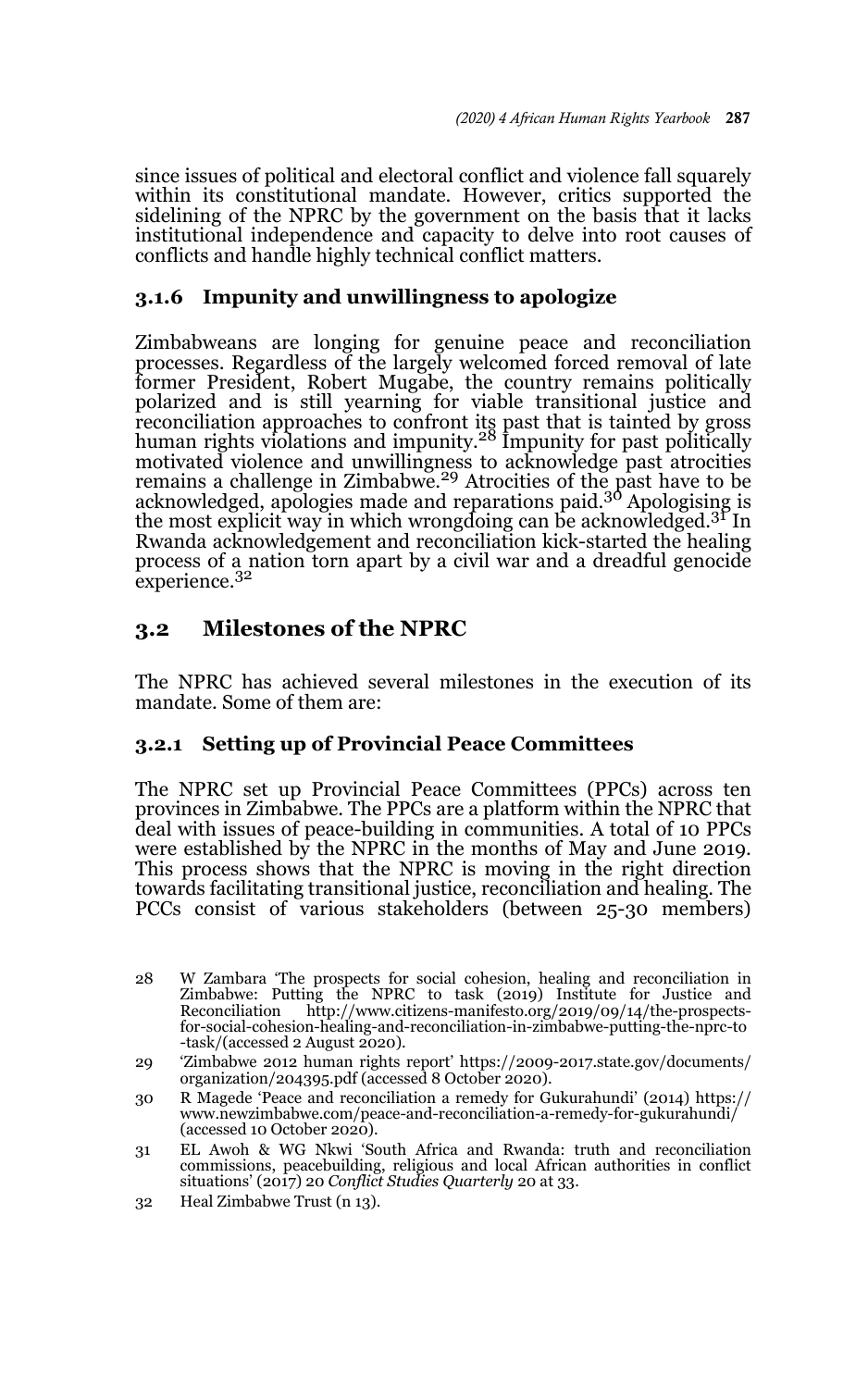since issues of political and electoral conflict and violence fall squarely within its constitutional mandate. However, critics supported the sidelining of the NPRC by the government on the basis that it lacks institutional independence and capacity to delve into root causes of conflicts and handle highly technical conflict matters.

### **3.1.6 Impunity and unwillingness to apologize**

Zimbabweans are longing for genuine peace and reconciliation processes. Regardless of the largely welcomed forced removal of late former President, Robert Mugabe, the country remains politically polarized and is still yearning for viable transitional justice and reconciliation approaches to confront its past that is tainted by gross human rights violations and impunity.28 Impunity for past politically motivated violence and unwillingness to acknowledge past atrocities<br>remains a challenge in Zimbabwe.<sup>29</sup> Atrocities of the past have to be acknowledged, apologies made and reparations paid.30 Apologising is the most explicit way in which wrongdoing can be acknowledged.<sup>31</sup> In Rwanda acknowledgement and reconciliation kick-started the healing process of a nation torn apart by a civil war and a dreadful genocide experience.<sup>32</sup>

## **3.2 Milestones of the NPRC**

The NPRC has achieved several milestones in the execution of its mandate. Some of them are:

### **3.2.1 Setting up of Provincial Peace Committees**

The NPRC set up Provincial Peace Committees (PPCs) across ten provinces in Zimbabwe. The PPCs are a platform within the NPRC that deal with issues of peace-building in communities. A total of 10 PPCs were established by the NPRC in the months of May and June 2019. This process shows that the NPRC is moving in the right direction towards facilitating transitional justice, reconciliation and healing. The PCCs consist of various stakeholders (between 25-30 members)

<sup>28</sup> W Zambara 'The prospects for social cohesion, healing and reconciliation in Zimbabwe: Putting the NPRC to task (2019) Institute for Justice and Reconciliation http://www.citizens-manifesto.org/2019/09/14/the-prospectsfor-social-cohesion-healing-and-reconciliation-in-zimbabwe-putting-the-nprc-to -task/(accessed 2 August 2020).

<sup>29 &#</sup>x27;Zimbabwe 2012 human rights report' https://2009-2017.state.gov/documents/ organization/204395.pdf (accessed 8 October 2020).

<sup>30</sup> R Magede 'Peace and reconciliation a remedy for Gukurahundi' (2014) https:// www.newzimbabwe.com/peace-and-reconciliation-a-remedy-for-gukurahundi/ (accessed 10 October 2020).

<sup>31</sup> EL Awoh & WG Nkwi 'South Africa and Rwanda: truth and reconciliation commissions, peacebuilding, religious and local African authorities in conflict situations' (2017) 20 *Conflict Studies Quarterly* 20 at 33.

<sup>32</sup> Heal Zimbabwe Trust (n 13).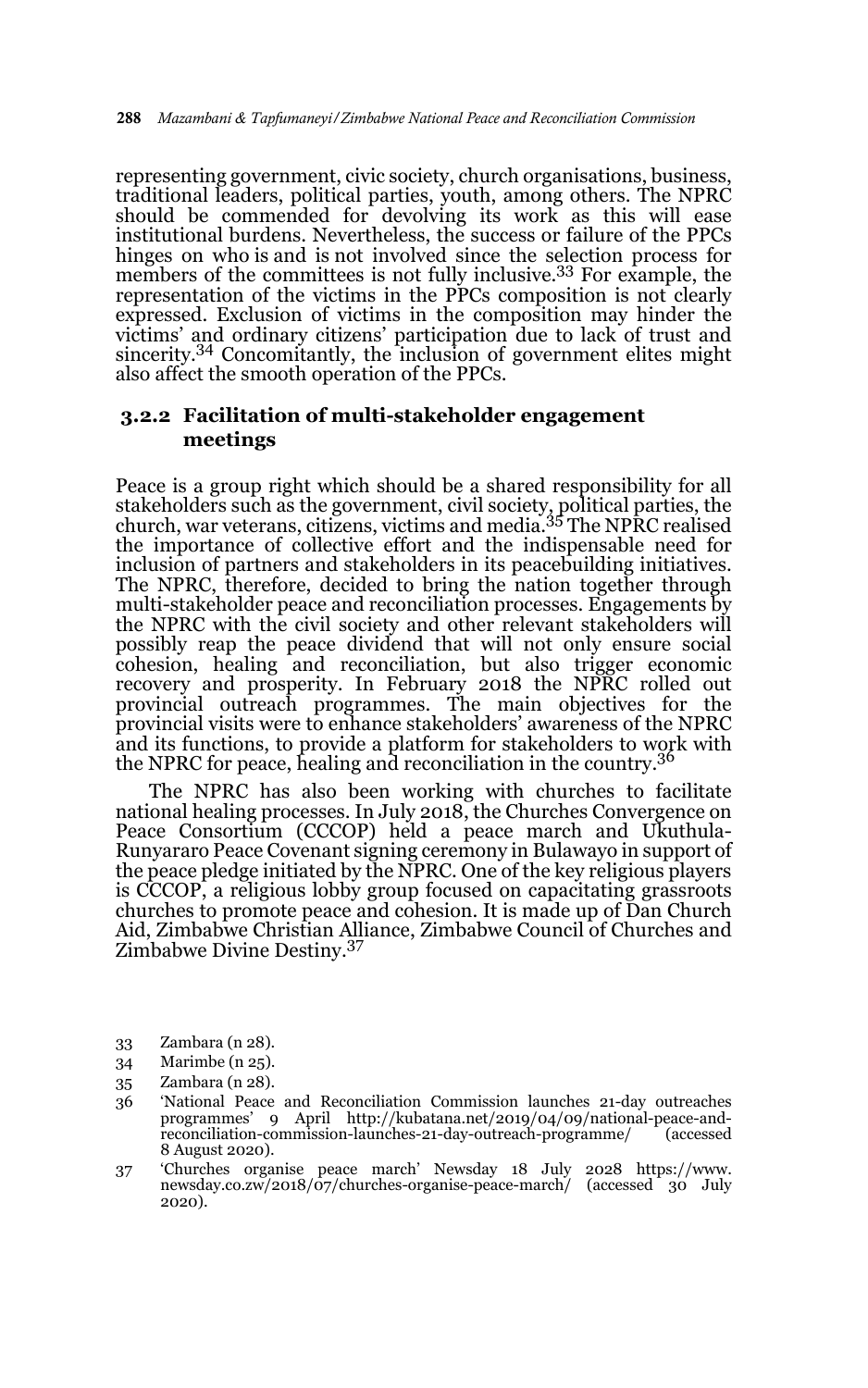representing government, civic society, church organisations, business, traditional leaders, political parties, youth, among others. The NPRC should be commended for devolving its work as this will ease institutional burdens. Nevertheless, the success or failure of the PPCs hinges on who is and is not involved since the selection process for members of the committees is not fully inclusive.33 For example, the representation of the victims in the PPCs composition is not clearly expressed. Exclusion of victims in the composition may hinder the victims' and ordinary citizens' participation due to lack of trust and sincerity.<sup>34</sup> Concomitantly, the inclusion of government elites might also affect the smooth operation of the PPCs.

#### **3.2.2 Facilitation of multi-stakeholder engagement meetings**

Peace is a group right which should be a shared responsibility for all stakeholders such as the government, civil society, political parties, the church, war veterans, citizens, victims and media.35 The NPRC realised the importance of collective effort and the indispensable need for inclusion of partners and stakeholders in its peacebuilding initiatives. The NPRC, therefore, decided to bring the nation together through multi-stakeholder peace and reconciliation processes. Engagements by the NPRC with the civil society and other relevant stakeholders will possibly reap the peace dividend that will not only ensure social cohesion, healing and reconciliation, but also trigger economic recovery and prosperity. In February 2018 the NPRC rolled out provincial outreach programmes. The main objectives for the provincial visits were to enhance stakeholders' awareness of the NPRC and its functions, to provide a platform for stakeholders to work with the NPRC for peace, healing and reconciliation in the country.36

The NPRC has also been working with churches to facilitate national healing processes. In July 2018, the Churches Convergence on Peace Consortium (CCCOP) held a peace march and Ukuthula-Runyararo Peace Covenant signing ceremony in Bulawayo in support of the peace pledge initiated by the NPRC. One of the key religious players is CCCOP, a religious lobby group focused on capacitating grassroots churches to promote peace and cohesion. It is made up of Dan Church Aid, Zimbabwe Christian Alliance, Zimbabwe Council of Churches and Zimbabwe Divine Destiny.37

- 33 Zambara (n 28).
- 34 Marimbe (n 25).
- 35 Zambara (n 28).
- 36 'National Peace and Reconciliation Commission launches 21-day outreaches programmes' 9 April http://kubatana.net/2019/04/09/national-peace-andreconciliation-commission-launches-21-day-outreach-programme/ (accessed 8 August 2020).
- 37 'Churches organise peace march' Newsday 18 July 2028 https://www. newsday.co.zw/2018/07/churches-organise-peace-march/ (accessed 30 July 2020).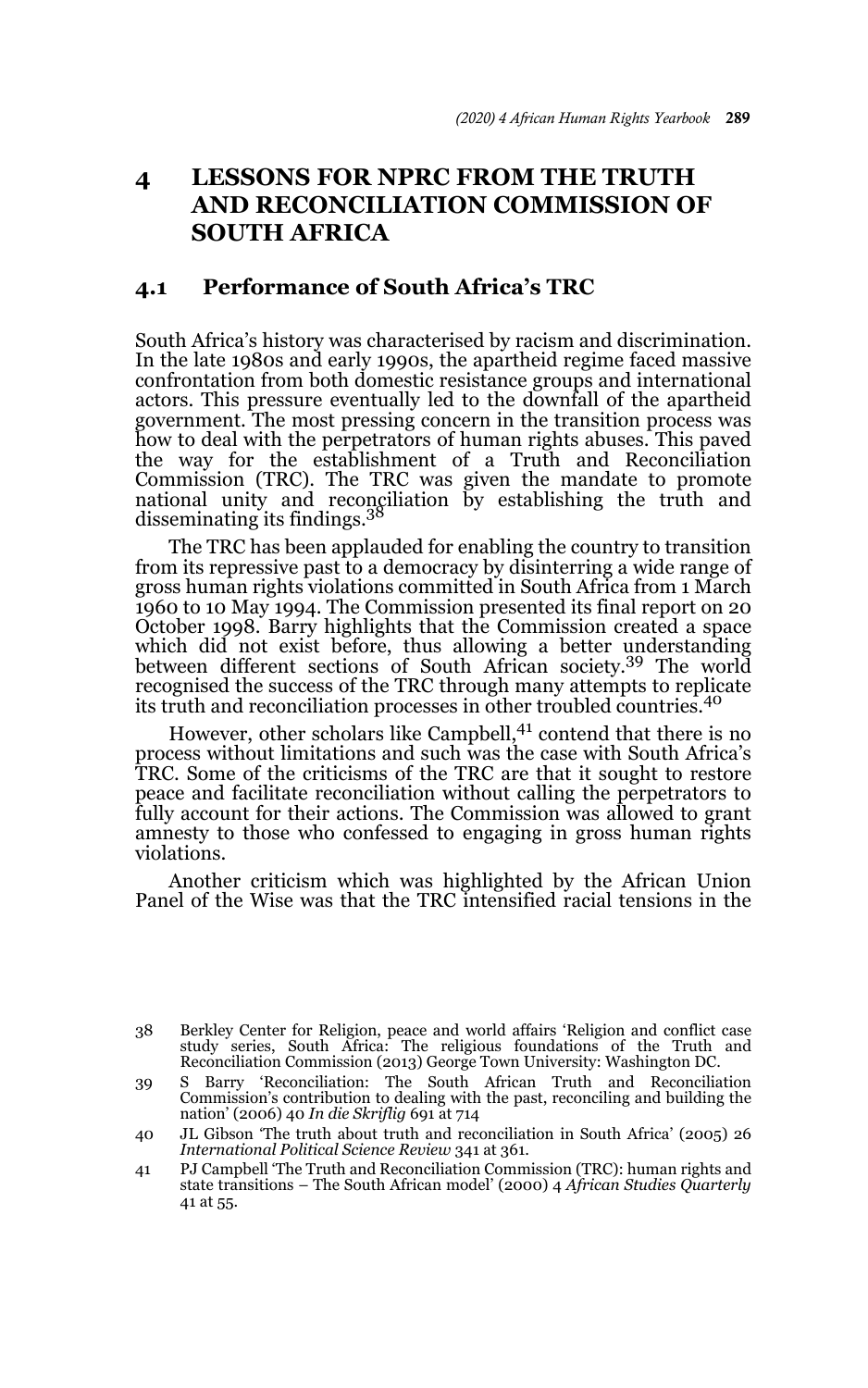## **4 LESSONS FOR NPRC FROM THE TRUTH AND RECONCILIATION COMMISSION OF SOUTH AFRICA**

### **4.1 Performance of South Africa's TRC**

South Africa's history was characterised by racism and discrimination. In the late 1980s and early 1990s, the apartheid regime faced massive confrontation from both domestic resistance groups and international actors. This pressure eventually led to the downfall of the apartheid government. The most pressing concern in the transition process was how to deal with the perpetrators of human rights abuses. This paved the way for the establishment of a Truth and Reconciliation Commission (TRC). The TRC was given the mandate to promote national unity and reconciliation by establishing the truth and<br>disseminating its\_findings.<sup>38</sup>

The TRC has been applauded for enabling the country to transition from its repressive past to a democracy by disinterring a wide range of gross human rights violations committed in South Africa from 1 March 1960 to 10 May 1994. The Commission presented its final report on 20 October 1998. Barry highlights that the Commission created a space which did not exist before, thus allowing a better understanding between different sections of South African society.39 The world recognised the success of the TRC through many attempts to replicate its truth and reconciliation processes in other troubled countries.<sup>40</sup>

However, other scholars like Campbell,<sup>41</sup> contend that there is no process without limitations and such was the case with South Africa's TRC. Some of the criticisms of the TRC are that it sought to restore peace and facilitate reconciliation without calling the perpetrators to fully account for their actions. The Commission was allowed to grant amnesty to those who confessed to engaging in gross human rights violations.

Another criticism which was highlighted by the African Union Panel of the Wise was that the TRC intensified racial tensions in the

<sup>38</sup> Berkley Center for Religion, peace and world affairs 'Religion and conflict case study series, South Africa: The religious foundations of the Truth and Reconciliation Commission (2013) George Town University: Washington DC.

<sup>39</sup> S Barry 'Reconciliation: The South African Truth and Reconciliation Commission's contribution to dealing with the past, reconciling and building the nation' (2006) 40 *In die Skriflig* 691 at 714

<sup>40</sup> JL Gibson 'The truth about truth and reconciliation in South Africa' (2005) 26 *International Political Science Review* 341 at 361.

<sup>41</sup> PJ Campbell 'The Truth and Reconciliation Commission (TRC): human rights and state transitions – The South African model' (2000) 4 *African Studies Quarterly* 41 at 55.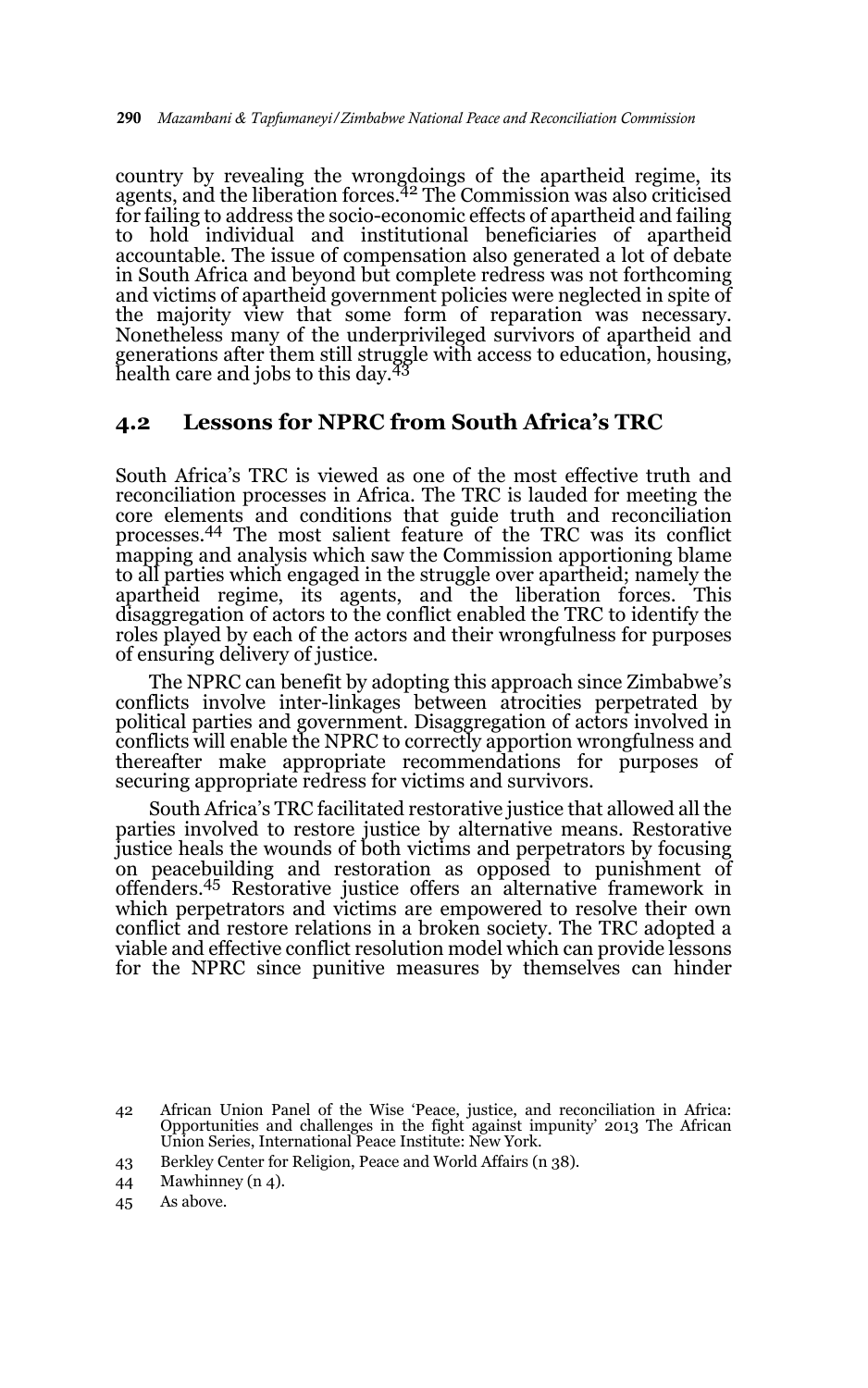country by revealing the wrongdoings of the apartheid regime, its<br>agents, and the liberation forces.<sup>42</sup> The Commission was also criticised for failing to address the socio-economic effects of apartheid and failing to hold individual and institutional beneficiaries of apartheid accountable. The issue of compensation also generated a lot of debate in South Africa and beyond but complete redress was not forthcoming and victims of apartheid government policies were neglected in spite of the majority view that some form of reparation was necessary. Nonetheless many of the underprivileged survivors of apartheid and generations after them still struggle with access to education, housing,<br>health care and jobs to this day.<sup>43</sup>

### **4.2 Lessons for NPRC from South Africa's TRC**

South Africa's TRC is viewed as one of the most effective truth and reconciliation processes in Africa. The TRC is lauded for meeting the core elements and conditions that guide truth and reconciliation processes.44 The most salient feature of the TRC was its conflict mapping and analysis which saw the Commission apportioning blame to all parties which engaged in the struggle over apartheid; namely the apartheid regime, its agents, and the liberation forces. This disaggregation of actors to the conflict enabled the TRC to identify the roles played by each of the actors and their wrongfulness for purposes of ensuring delivery of justice.

The NPRC can benefit by adopting this approach since Zimbabwe's conflicts involve inter-linkages between atrocities perpetrated by political parties and government. Disaggregation of actors involved in conflicts will enable the NPRC to correctly apportion wrongfulness and thereafter make appropriate recommendations for purposes of securing appropriate redress for victims and survivors.

South Africa's TRC facilitated restorative justice that allowed all the parties involved to restore justice by alternative means. Restorative justice heals the wounds of both victims and perpetrators by focusing on peacebuilding and restoration as opposed to punishment of offenders.45 Restorative justice offers an alternative framework in which perpetrators and victims are empowered to resolve their own conflict and restore relations in a broken society. The TRC adopted a viable and effective conflict resolution model which can provide lessons for the NPRC since punitive measures by themselves can hinder

<sup>42</sup> African Union Panel of the Wise 'Peace, justice, and reconciliation in Africa: Opportunities and challenges in the fight against impunity' 2013 The African Union Series, International Peace Institute: New York.

<sup>43</sup> Berkley Center for Religion, Peace and World Affairs (n 38).

<sup>44</sup> Mawhinney (n 4).

<sup>45</sup> As above.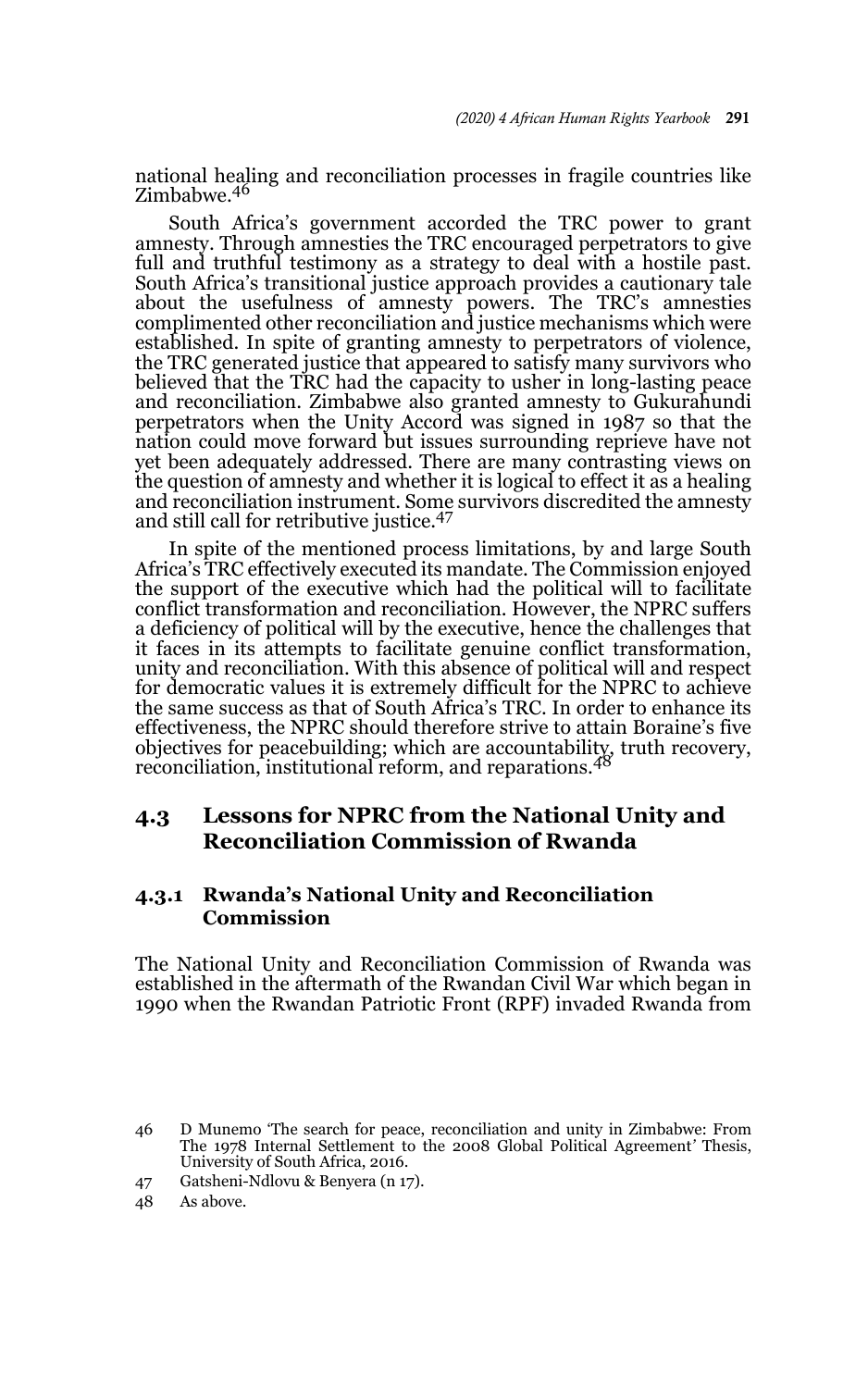national healing and reconciliation processes in fragile countries like Zimbabwe.<sup>46</sup>

South Africa's government accorded the TRC power to grant amnesty. Through amnesties the TRC encouraged perpetrators to give full and truthful testimony as a strategy to deal with a hostile past. South Africa's transitional justice approach provides a cautionary tale about the usefulness of amnesty powers. The TRC's amnesties complimented other reconciliation and justice mechanisms which were established. In spite of granting amnesty to perpetrators of violence, the TRC generated justice that appeared to satisfy many survivors who believed that the TRC had the capacity to usher in long-lasting peace and reconciliation. Zimbabwe also granted amnesty to Gukurahundi perpetrators when the Unity Accord was signed in 1987 so that the nation could move forward but issues surrounding reprieve have not yet been adequately addressed. There are many contrasting views on the question of amnesty and whether it is logical to effect it as a healing and reconciliation instrument. Some survivors discredited the amnesty and still call for retributive justice.47

In spite of the mentioned process limitations, by and large South Africa's TRC effectively executed its mandate. The Commission enjoyed the support of the executive which had the political will to facilitate conflict transformation and reconciliation. However, the NPRC suffers a deficiency of political will by the executive, hence the challenges that it faces in its attempts to facilitate genuine conflict transformation, unity and reconciliation. With this absence of political will and respect for democratic values it is extremely difficult for the NPRC to achieve the same success as that of South Africa's TRC. In order to enhance its effectiveness, the NPRC should therefore strive to attain Boraine's five objectives for peacebuilding; which are accountability, truth recovery, reconciliation, institutional reform, and reparations.<sup>48</sup>

### **4.3 Lessons for NPRC from the National Unity and Reconciliation Commission of Rwanda**

### **4.3.1 Rwanda's National Unity and Reconciliation Commission**

The National Unity and Reconciliation Commission of Rwanda was established in the aftermath of the Rwandan Civil War which began in 1990 when the Rwandan Patriotic Front (RPF) invaded Rwanda from

<sup>46</sup> D Munemo 'The search for peace, reconciliation and unity in Zimbabwe: From The 1978 Internal Settlement to the 2008 Global Political Agreement*'* Thesis, University of South Africa, 2016.

<sup>47</sup> Gatsheni-Ndlovu & Benyera (n 17).

<sup>48</sup> As above.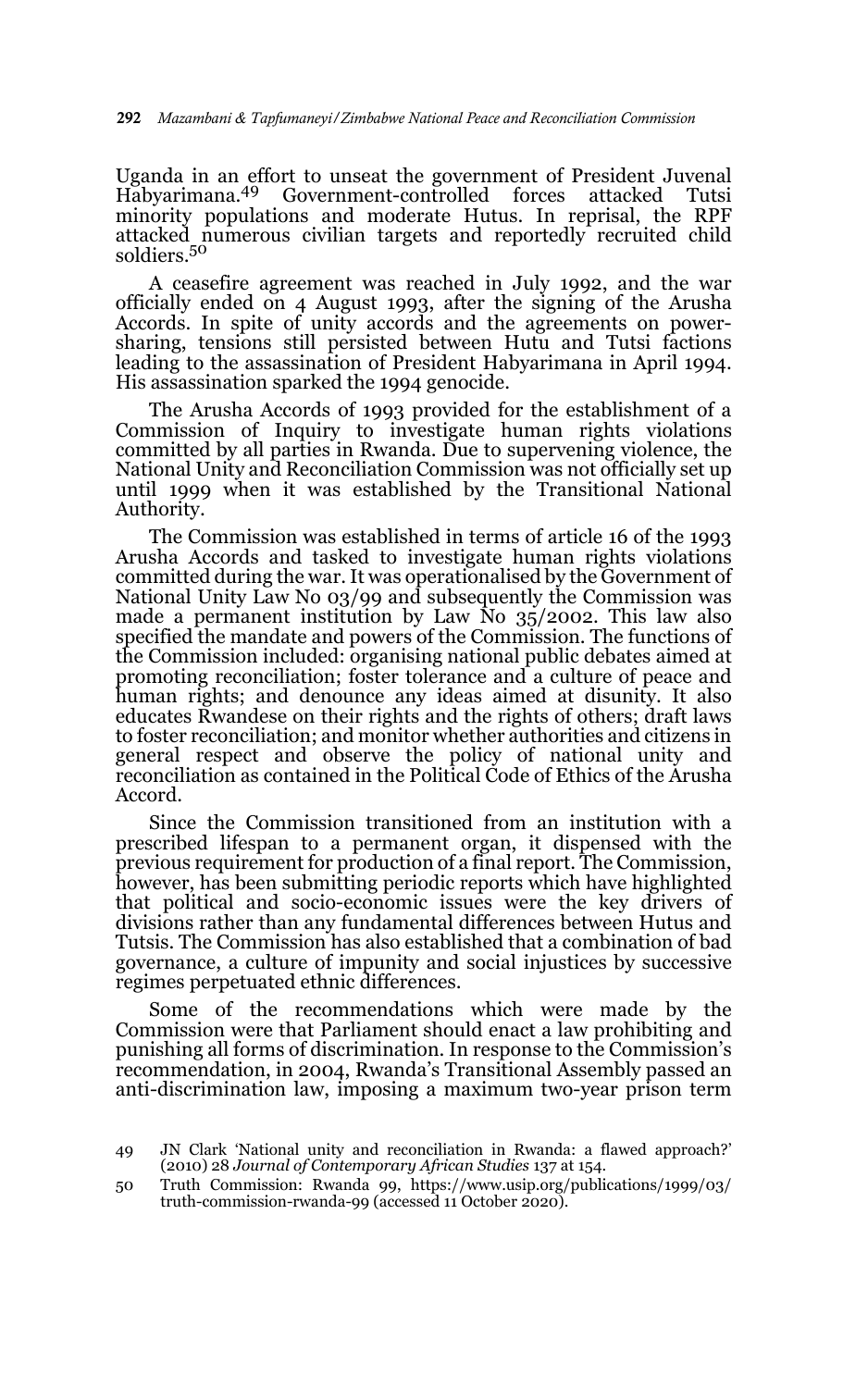Uganda in an effort to unseat the government of President Juvenal<br>Habyarimana.<sup>49</sup> Government-controlled forces attacked Tutsi Habyarimana.49 Government-controlled forces attacked Tutsi minority populations and moderate Hutus. In reprisal, the RPF attacked numerous civilian targets and reportedly recruited child soldiers.50

A ceasefire agreement was reached in July 1992, and the war officially ended on 4 August 1993, after the signing of the Arusha Accords. In spite of unity accords and the agreements on powersharing, tensions still persisted between Hutu and Tutsi factions leading to the assassination of President Habyarimana in April 1994. His assassination sparked the 1994 genocide.

The Arusha Accords of 1993 provided for the establishment of a Commission of Inquiry to investigate human rights violations committed by all parties in Rwanda. Due to supervening violence, the National Unity and Reconciliation Commission was not officially set up until 1999 when it was established by the Transitional National Authority.

The Commission was established in terms of article 16 of the 1993 Arusha Accords and tasked to investigate human rights violations committed during the war. It was operationalised by the Government of National Unity Law No 03/99 and subsequently the Commission was made a permanent institution by Law No 35/2002. This law also specified the mandate and powers of the Commission. The functions of the Commission included: organising national public debates aimed at promoting reconciliation; foster tolerance and a culture of peace and human rights; and denounce any ideas aimed at disunity. It also educates Rwandese on their rights and the rights of others; draft laws to foster reconciliation; and monitor whether authorities and citizens in general respect and observe the policy of national unity and reconciliation as contained in the Political Code of Ethics of the Arusha Accord.

Since the Commission transitioned from an institution with a prescribed lifespan to a permanent organ, it dispensed with the previous requirement for production of a final report. The Commission, however, has been submitting periodic reports which have highlighted that political and socio-economic issues were the key drivers of divisions rather than any fundamental differences between Hutus and Tutsis. The Commission has also established that a combination of bad governance, a culture of impunity and social injustices by successive regimes perpetuated ethnic differences.

Some of the recommendations which were made by the Commission were that Parliament should enact a law prohibiting and punishing all forms of discrimination. In response to the Commission's recommendation, in 2004, Rwanda's Transitional Assembly passed an anti-discrimination law, imposing a maximum two-year prison term

<sup>49</sup> JN Clark 'National unity and reconciliation in Rwanda: a flawed approach?' (2010) 28 *Journal of Contemporary African Studies* 137 at 154.

<sup>50</sup> Truth Commission: Rwanda 99, https://www.usip.org/publications/1999/03/ truth-commission-rwanda-99 (accessed 11 October 2020).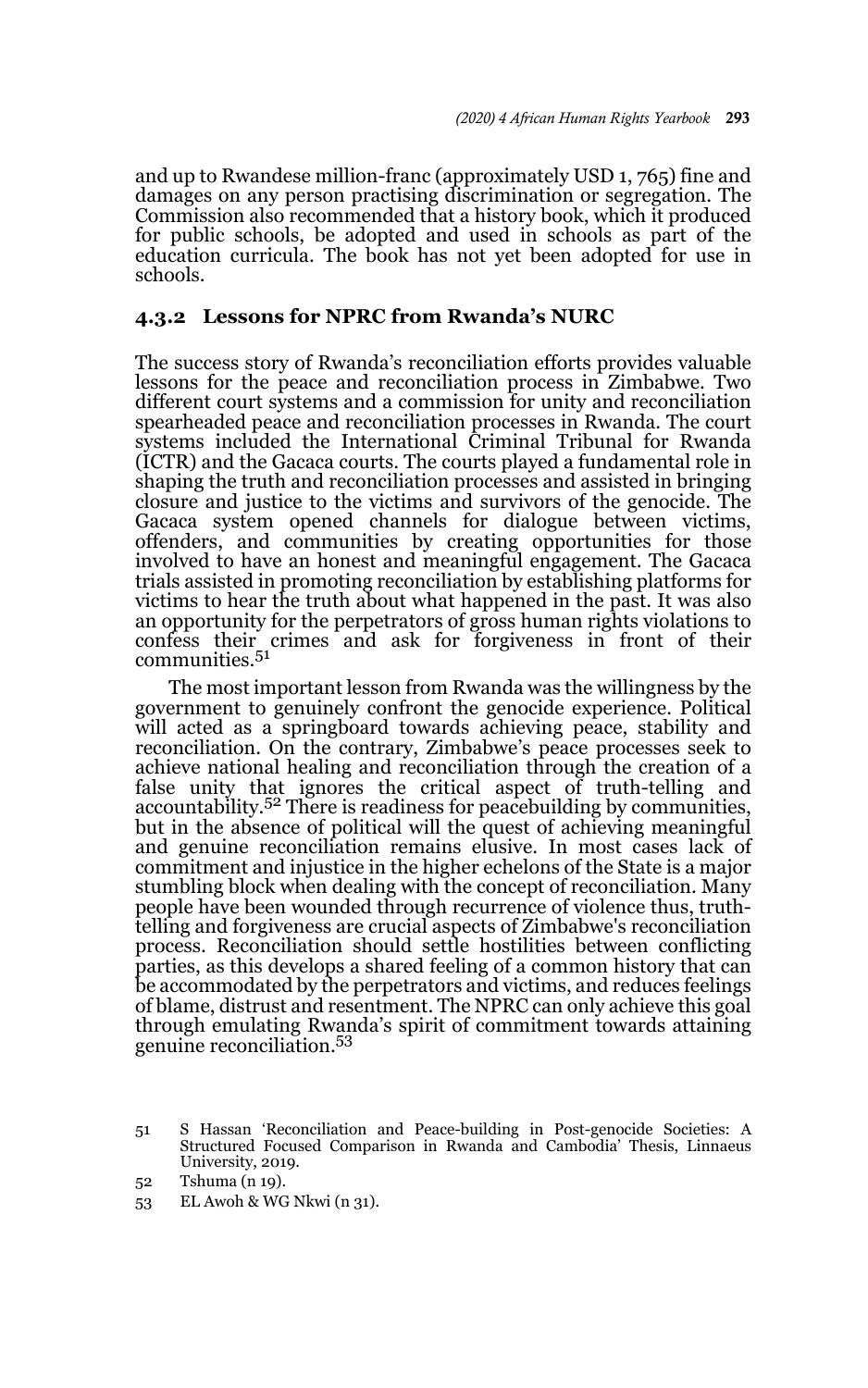and up to Rwandese million-franc (approximately USD 1, 765) fine and damages on any person practising discrimination or segregation. The Commission also recommended that a history book, which it produced for public schools, be adopted and used in schools as part of the education curricula. The book has not yet been adopted for use in schools.

#### **4.3.2 Lessons for NPRC from Rwanda's NURC**

The success story of Rwanda's reconciliation efforts provides valuable lessons for the peace and reconciliation process in Zimbabwe. Two different court systems and a commission for unity and reconciliation spearheaded peace and reconciliation processes in Rwanda. The court systems included the International Criminal Tribunal for Rwanda (ICTR) and the Gacaca courts. The courts played a fundamental role in shaping the truth and reconciliation processes and assisted in bringing closure and justice to the victims and survivors of the genocide. The Gacaca system opened channels for dialogue between victims, offenders, and communities by creating opportunities for those involved to have an honest and meaningful engagement. The Gacaca trials assisted in promoting reconciliation by establishing platforms for victims to hear the truth about what happened in the past. It was also an opportunity for the perpetrators of gross human rights violations to confess their crimes and ask for forgiveness in front of their communities.<sup>51</sup>

The most important lesson from Rwanda was the willingness by the government to genuinely confront the genocide experience. Political will acted as a springboard towards achieving peace, stability and reconciliation. On the contrary, Zimbabwe's peace processes seek to achieve national healing and reconciliation through the creation of a false unity that ignores the critical aspect of truth-telling and accountability.<sup>52</sup> There is readiness for peacebuilding by communities, but in the absence of political will the quest of achieving meaningful and genuine reconciliation remains elusive. In most cases lack of commitment and injustice in the higher echelons of the State is a major stumbling block when dealing with the concept of reconciliation. Many people have been wounded through recurrence of violence thus, truthtelling and forgiveness are crucial aspects of Zimbabwe's reconciliation process. Reconciliation should settle hostilities between conflicting parties, as this develops a shared feeling of a common history that can be accommodated by the perpetrators and victims, and reduces feelings of blame, distrust and resentment. The NPRC can only achieve this goal through emulating Rwanda's spirit of commitment towards attaining genuine reconciliation.<sup>53</sup>

<sup>51</sup> S Hassan 'Reconciliation and Peace-building in Post-genocide Societies: A Structured Focused Comparison in Rwanda and Cambodia' Thesis, Linnaeus University, 2019.

<sup>52</sup> Tshuma (n 19).

<sup>53</sup> EL Awoh & WG Nkwi (n 31).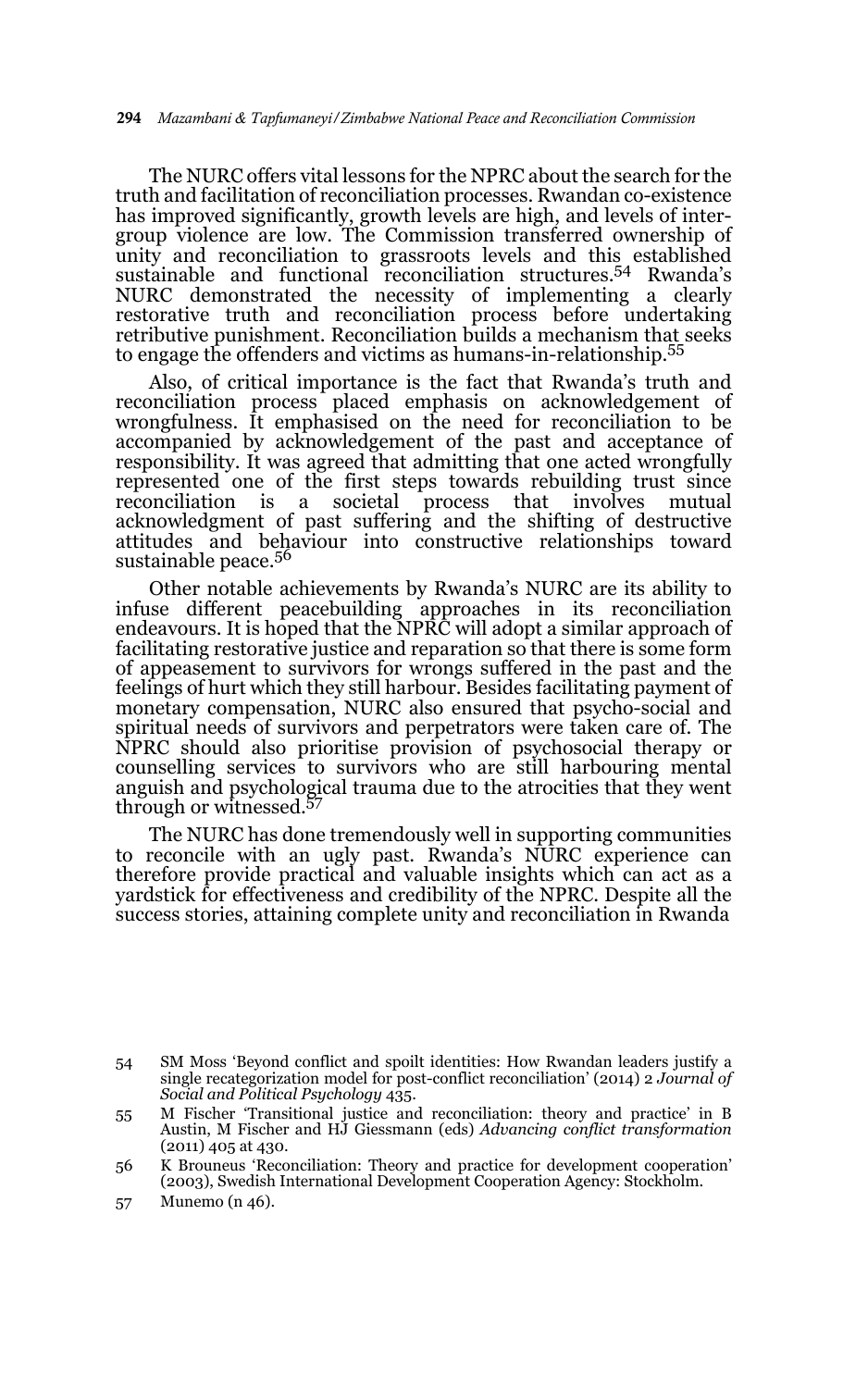The NURC offers vital lessons for the NPRC about the search for the truth and facilitation of reconciliation processes. Rwandan co-existence has improved significantly, growth levels are high, and levels of intergroup violence are low. The Commission transferred ownership of unity and reconciliation to grassroots levels and this established sustainable and functional reconciliation structures.54 Rwanda's NURC demonstrated the necessity of implementing a clearly restorative truth and reconciliation process before undertaking retributive punishment. Reconciliation builds a mechanism that seeks to engage the offenders and victims as humans-in-relationship.<sup>55</sup>

Also, of critical importance is the fact that Rwanda's truth and reconciliation process placed emphasis on acknowledgement of wrongfulness. It emphasised on the need for reconciliation to be accompanied by acknowledgement of the past and acceptance of responsibility. It was agreed that admitting that one acted wrongfully represented one of the first steps towards rebuilding trust since reconciliation is a societal process that involves mutual acknowledgment of past suffering and the shifting of destructive attitudes and behaviour into constructive relationships toward sustainable peace.<sup>56</sup>

Other notable achievements by Rwanda's NURC are its ability to infuse different peacebuilding approaches in its reconciliation endeavours. It is hoped that the NPRC will adopt a similar approach of facilitating restorative justice and reparation so that there is some form of appeasement to survivors for wrongs suffered in the past and the feelings of hurt which they still harbour. Besides facilitating payment of monetary compensation, NURC also ensured that psycho-social and spiritual needs of survivors and perpetrators were taken care of. The NPRC should also prioritise provision of psychosocial therapy or counselling services to survivors who are still harbouring mental anguish and psychological trauma due to the atrocities that they went through or witnessed.57

The NURC has done tremendously well in supporting communities to reconcile with an ugly past. Rwanda's NURC experience can therefore provide practical and valuable insights which can act as a yardstick for effectiveness and credibility of the NPRC. Despite all the success stories, attaining complete unity and reconciliation in Rwanda

<sup>54</sup> SM Moss 'Beyond conflict and spoilt identities: How Rwandan leaders justify a single recategorization model for post-conflict reconciliation' (2014) 2 *Journal of Social and Political Psychology* 435.

<sup>55</sup> M Fischer 'Transitional justice and reconciliation: theory and practice' in B Austin, M Fischer and HJ Giessmann (eds) *Advancing conflict transformation* (2011) 405 at 430.

<sup>56</sup> K Brouneus 'Reconciliation: Theory and practice for development cooperation' (2003), Swedish International Development Cooperation Agency: Stockholm.

<sup>57</sup> Munemo (n 46).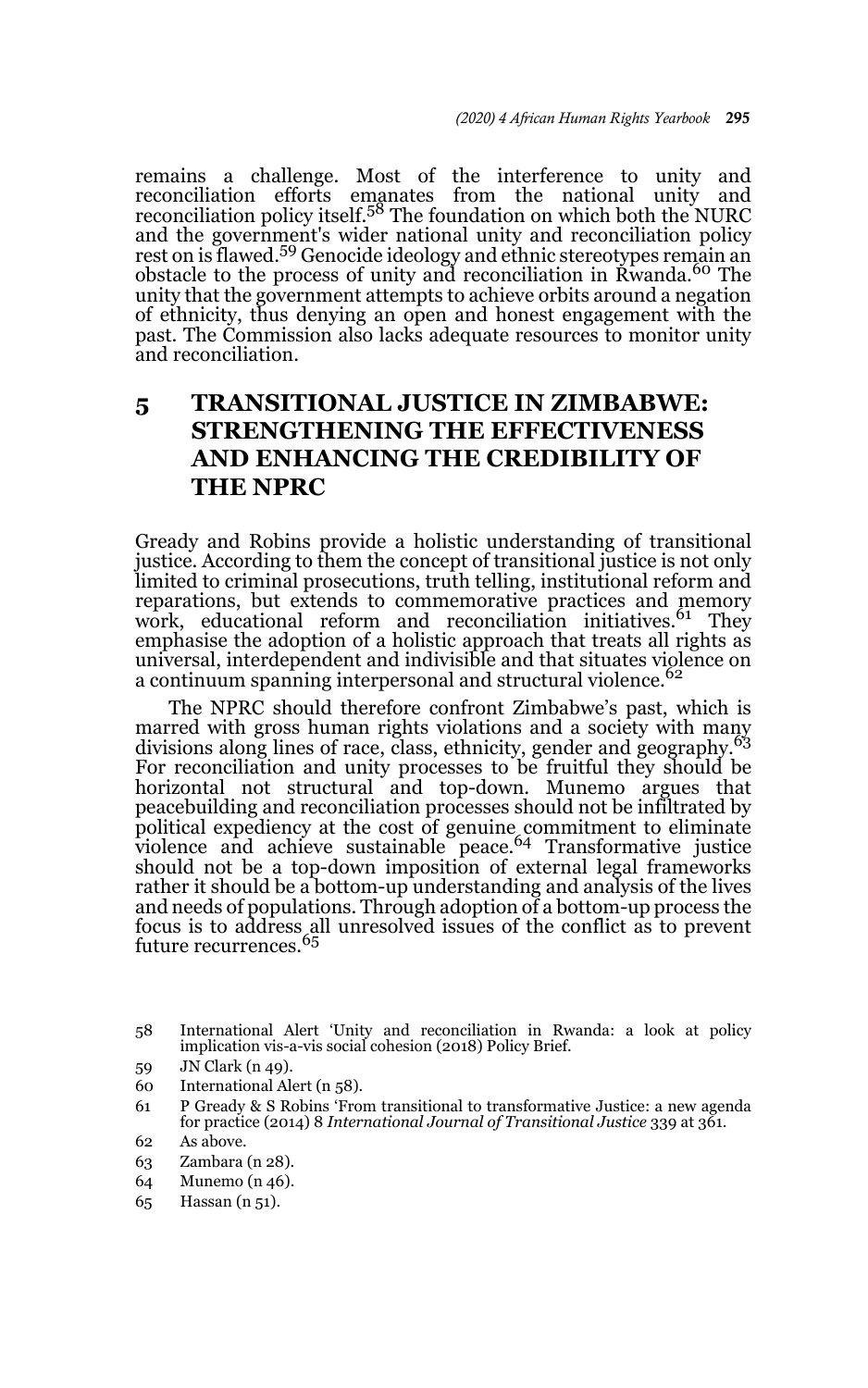remains a challenge. Most of the interference to unity and reconciliation efforts emanates from the national unity and<br>reconciliation policy itself.<sup>58</sup> The foundation on which both the NURC and the government's wider national unity and reconciliation policy rest on is flawed.59 Genocide ideology and ethnic stereotypes remain an obstacle to the process of unity and reconciliation in Rwanda.<sup>60</sup> The unity that the government attempts to achieve orbits around a negation of ethnicity, thus denying an open and honest engagement with the past. The Commission also lacks adequate resources to monitor unity and reconciliation.

## **5 TRANSITIONAL JUSTICE IN ZIMBABWE: STRENGTHENING THE EFFECTIVENESS AND ENHANCING THE CREDIBILITY OF THE NPRC**

Gready and Robins provide a holistic understanding of transitional justice. According to them the concept of transitional justice is not only limited to criminal prosecutions, truth telling, institutional reform and reparations, but extends to commemorative practices and memory<br>work, educational reform and reconciliation initiatives.<sup>61</sup> They emphasise the adoption of a holistic approach that treats all rights as universal, interdependent and indivisible and that situates violence on a continuum spanning interpersonal and structural violence.<sup>62</sup>

The NPRC should therefore confront Zimbabwe's past, which is marred with gross human rights violations and a society with many divisions along lines of race, class, ethnicity, gender and geography.<sup>63</sup> For reconciliation and unity processes to be fruitful they should be horizontal not structural and top-down. Munemo argues that peacebuilding and reconciliation processes should not be infiltrated by political expediency at the cost of genuine commitment to eliminate violence and achieve sustainable peace.<sup>64</sup> Transformative justice should not be a top-down imposition of external legal frameworks rather it should be a bottom-up understanding and analysis of the lives and needs of populations. Through adoption of a bottom-up process the focus is to address all unresolved issues of the conflict as to prevent future recurrences.<sup>65</sup>

- 59 JN Clark (n 49).
- 60 International Alert (n 58).
- 61 P Gready & S Robins 'From transitional to transformative Justice: a new agenda for practice (2014) 8 *International Journal of Transitional Justice* 339 at 361.
- 62 As above.
- 63 Zambara (n 28).
- 64 Munemo (n 46).
- 65 Hassan (n 51).

<sup>58</sup> International Alert 'Unity and reconciliation in Rwanda: a look at policy implication vis-a-vis social cohesion (2018) Policy Brief.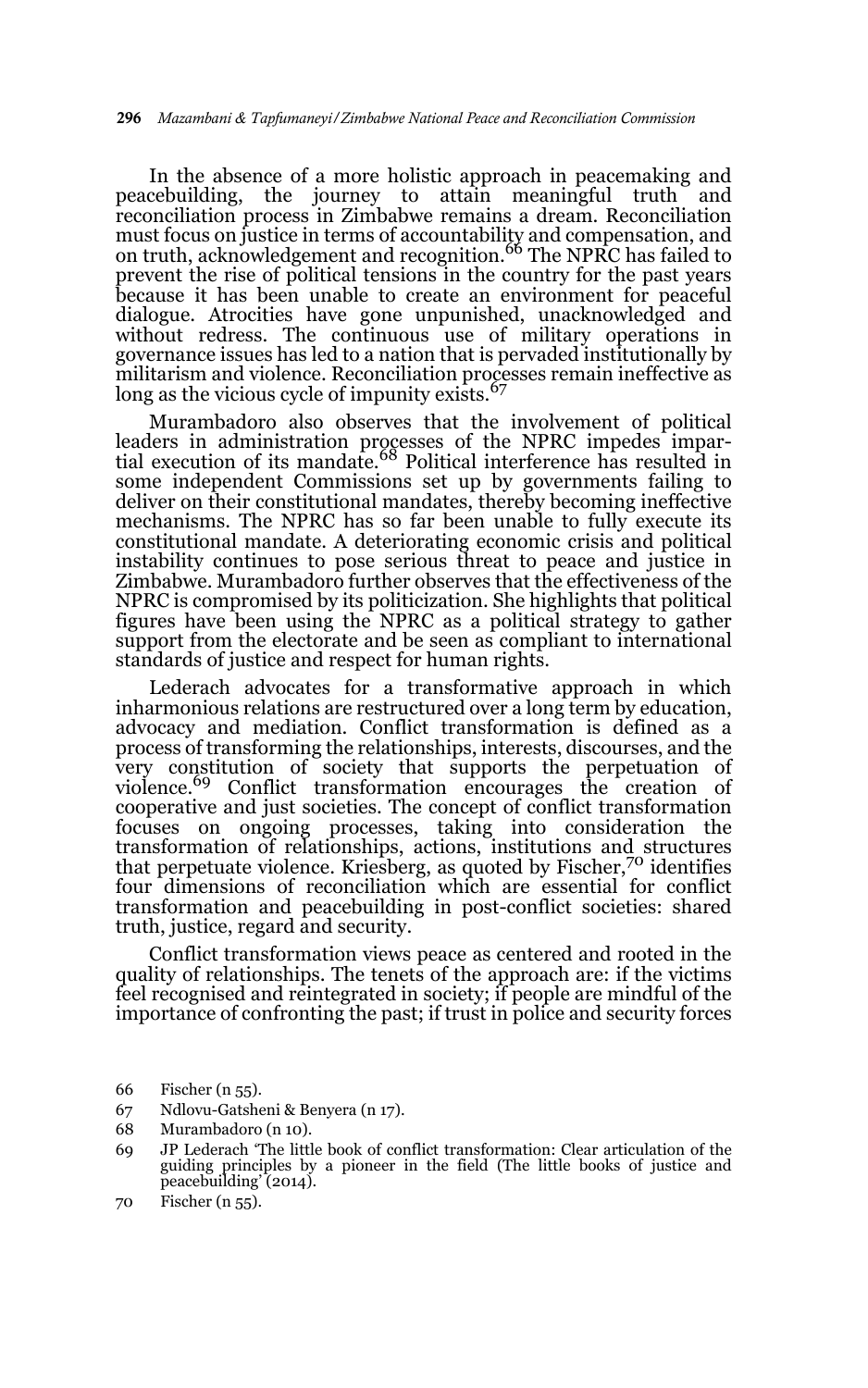In the absence of a more holistic approach in peacemaking and peacebuilding, the journey to attain meaningful truth and reconciliation process in Zimbabwe remains a dream. Reconciliation must focus on justice in terms of accountability and compensation, and<br>on truth, acknowledgement and recognition.<sup>66</sup> The NPRC has failed to prevent the rise of political tensions in the country for the past years because it has been unable to create an environment for peaceful dialogue. Atrocities have gone unpunished, unacknowledged and without redress. The continuous use of military operations in governance issues has led to a nation that is pervaded institutionally by militarism and violence. Reconciliation processes remain ineffective as long as the vicious cycle of impunity exists.<sup>67</sup>

Murambadoro also observes that the involvement of political leaders in administration processes of the NPRC impedes impar-<br>tial execution of its mandate.<sup>68</sup> Political interference has resulted in some independent Commissions set up by governments failing to deliver on their constitutional mandates, thereby becoming ineffective mechanisms. The NPRC has so far been unable to fully execute its constitutional mandate. A deteriorating economic crisis and political instability continues to pose serious threat to peace and justice in Zimbabwe. Murambadoro further observes that the effectiveness of the NPRC is compromised by its politicization. She highlights that political figures have been using the NPRC as a political strategy to gather support from the electorate and be seen as compliant to international standards of justice and respect for human rights.

Lederach advocates for a transformative approach in which inharmonious relations are restructured over a long term by education, advocacy and mediation. Conflict transformation is defined as a process of transforming the relationships, interests, discourses, and the very constitution of society that supports the perpetuation of violence.<sup>69</sup> Conflict transformation encourages the creation of cooperative and just societies. The concept of conflict transformation focuses on ongoing processes, taking into consideration the transformation of relationships, actions, institutions and structures that perpetuate violence. Kriesberg, as quoted by Fischer,70 identifies four dimensions of reconciliation which are essential for conflict transformation and peacebuilding in post-conflict societies: shared truth, justice, regard and security.

Conflict transformation views peace as centered and rooted in the quality of relationships. The tenets of the approach are: if the victims feel recognised and reintegrated in society; if people are mindful of the importance of confronting the past; if trust in police and security forces

<sup>66</sup> Fischer (n 55).

<sup>67</sup> Ndlovu-Gatsheni & Benyera (n 17).

<sup>68</sup> Murambadoro (n 10).

<sup>69</sup> JP Lederach 'The little book of conflict transformation: Clear articulation of the guiding principles by a pioneer in the field (The little books of justice and peacebuilding' (2014).

<sup>70</sup> Fischer (n 55).